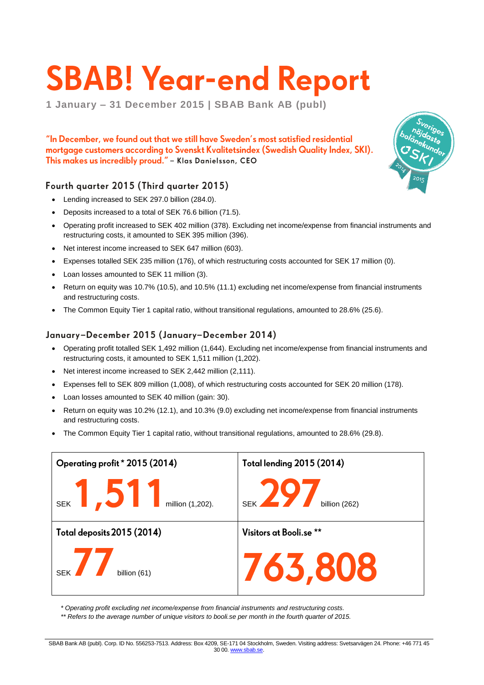# **SBAB! Year-end Report**

**1 January – 31 December 2015 | SBAB Bank AB (publ)**

"In December, we found out that we still have Sweden's most satisfied residential mortgage customers according to Svenskt Kvalitetsindex (Swedish Quality Index, SKI). This makes us incredibly proud." - Klas Danielsson, CEO

### Fourth quarter 2015 (Third quarter 2015)

- Lending increased to SEK 297.0 billion (284.0).
- Deposits increased to a total of SEK 76.6 billion (71.5).
- Operating profit increased to SEK 402 million (378). Excluding net income/expense from financial instruments and restructuring costs, it amounted to SEK 395 million (396).
- Net interest income increased to SEK 647 million (603).
- Expenses totalled SEK 235 million (176), of which restructuring costs accounted for SEK 17 million (0).
- Loan losses amounted to SEK 11 million (3).
- Return on equity was 10.7% (10.5), and 10.5% (11.1) excluding net income/expense from financial instruments and restructuring costs.
- The Common Equity Tier 1 capital ratio, without transitional regulations, amounted to 28.6% (25.6).

### January-December 2015 (January-December 2014)

- Operating profit totalled SEK 1,492 million (1,644). Excluding net income/expense from financial instruments and restructuring costs, it amounted to SEK 1,511 million (1,202).
- Net interest income increased to SEK 2,442 million (2,111).
- Expenses fell to SEK 809 million (1,008), of which restructuring costs accounted for SEK 20 million (178).
- Loan losses amounted to SEK 40 million (gain: 30).
- Return on equity was 10.2% (12.1), and 10.3% (9.0) excluding net income/expense from financial instruments and restructuring costs.
- The Common Equity Tier 1 capital ratio, without transitional regulations, amounted to 28.6% (29.8).



*\* Operating profit excluding net income/expense from financial instruments and restructuring costs.*

*\*\* Refers to the average number of unique visitors to booli.se per month in the fourth quarter of 2015.*



SBAB Bank AB (publ). Corp. ID No. 556253-7513. Address: Box 4209, SE-171 04 Stockholm, Sweden. Visiting address: Svetsarvägen 24. Phone: +46 771 45 30 00[. www.sbab.se.](http://www.sbab.se/)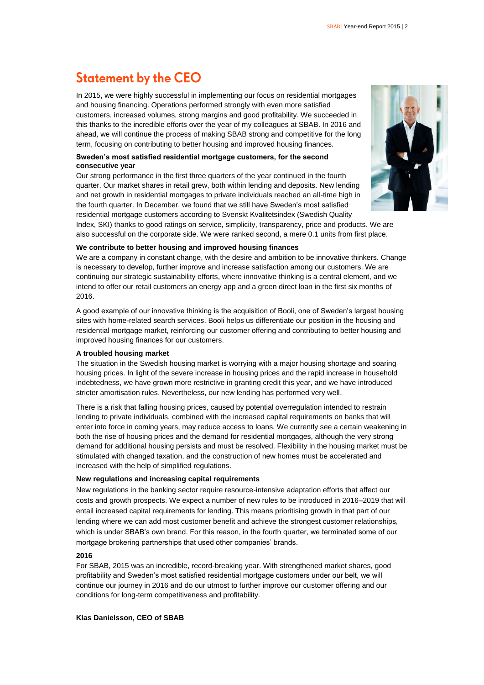# **Statement by the CEO**

In 2015, we were highly successful in implementing our focus on residential mortgages and housing financing. Operations performed strongly with even more satisfied customers, increased volumes, strong margins and good profitability. We succeeded in this thanks to the incredible efforts over the year of my colleagues at SBAB. In 2016 and ahead, we will continue the process of making SBAB strong and competitive for the long term, focusing on contributing to better housing and improved housing finances.

### **Sweden's most satisfied residential mortgage customers, for the second consecutive year**

Our strong performance in the first three quarters of the year continued in the fourth quarter. Our market shares in retail grew, both within lending and deposits. New lending and net growth in residential mortgages to private individuals reached an all-time high in the fourth quarter. In December, we found that we still have Sweden's most satisfied residential mortgage customers according to Svenskt Kvalitetsindex (Swedish Quality



Index, SKI) thanks to good ratings on service, simplicity, transparency, price and products. We are also successful on the corporate side. We were ranked second, a mere 0.1 units from first place.

#### **We contribute to better housing and improved housing finances**

We are a company in constant change, with the desire and ambition to be innovative thinkers. Change is necessary to develop, further improve and increase satisfaction among our customers. We are continuing our strategic sustainability efforts, where innovative thinking is a central element, and we intend to offer our retail customers an energy app and a green direct loan in the first six months of 2016.

A good example of our innovative thinking is the acquisition of Booli, one of Sweden's largest housing sites with home-related search services. Booli helps us differentiate our position in the housing and residential mortgage market, reinforcing our customer offering and contributing to better housing and improved housing finances for our customers.

#### **A troubled housing market**

The situation in the Swedish housing market is worrying with a major housing shortage and soaring housing prices. In light of the severe increase in housing prices and the rapid increase in household indebtedness, we have grown more restrictive in granting credit this year, and we have introduced stricter amortisation rules. Nevertheless, our new lending has performed very well.

There is a risk that falling housing prices, caused by potential overregulation intended to restrain lending to private individuals, combined with the increased capital requirements on banks that will enter into force in coming years, may reduce access to loans. We currently see a certain weakening in both the rise of housing prices and the demand for residential mortgages, although the very strong demand for additional housing persists and must be resolved. Flexibility in the housing market must be stimulated with changed taxation, and the construction of new homes must be accelerated and increased with the help of simplified regulations.

#### **New regulations and increasing capital requirements**

New regulations in the banking sector require resource-intensive adaptation efforts that affect our costs and growth prospects. We expect a number of new rules to be introduced in 2016–2019 that will entail increased capital requirements for lending. This means prioritising growth in that part of our lending where we can add most customer benefit and achieve the strongest customer relationships, which is under SBAB's own brand. For this reason, in the fourth quarter, we terminated some of our mortgage brokering partnerships that used other companies' brands.

### **2016**

For SBAB, 2015 was an incredible, record-breaking year. With strengthened market shares, good profitability and Sweden's most satisfied residential mortgage customers under our belt, we will continue our journey in 2016 and do our utmost to further improve our customer offering and our conditions for long-term competitiveness and profitability.

#### **Klas Danielsson, CEO of SBAB**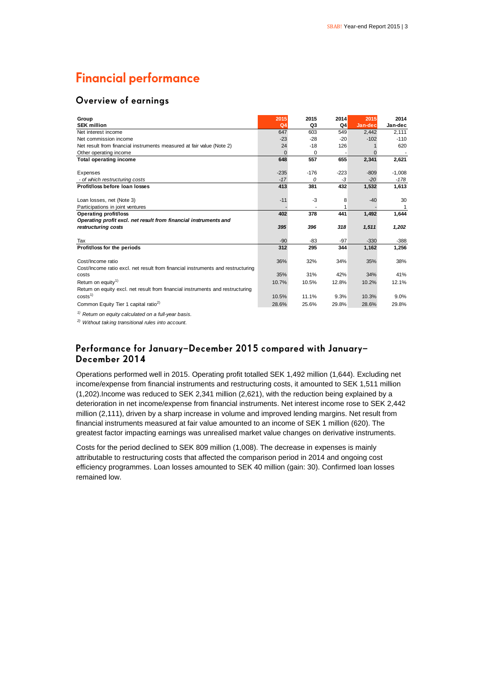# **Financial performance**

### Overview of earnings

| Group                                                                           | 2015            | 2015     | 2014           | 2015    | 2014     |
|---------------------------------------------------------------------------------|-----------------|----------|----------------|---------|----------|
| <b>SEK million</b>                                                              | Q <sub>4</sub>  | Q3       | Q <sub>4</sub> | Jan-dec | Jan-dec  |
| Net interest income                                                             | 647             | 603      | 549            | 2,442   | 2,111    |
| Net commission income                                                           | $-23$           | $-28$    | $-20$          | $-102$  | $-110$   |
| Net result from financial instruments measured at fair value (Note 2)           | 24              | $-18$    | 126            |         | 620      |
| Other operating income                                                          | $\Omega$        | 0        |                |         |          |
| <b>Total operating income</b>                                                   | 648             | 557      | 655            | 2,341   | 2,621    |
|                                                                                 |                 |          |                |         |          |
| Expenses                                                                        | $-235$<br>$-17$ | $-176$   | $-223$         | $-809$  | $-1,008$ |
| - of which restructuring costs                                                  |                 | $\Omega$ | -3             | $-20$   | $-178$   |
| Profit/loss before loan losses                                                  | 413             | 381      | 432            | 1,532   | 1,613    |
| Loan losses, net (Note 3)                                                       | $-11$           | $-3$     | 8              | $-40$   | 30       |
| Participations in joint ventures                                                |                 |          |                |         | 1        |
| <b>Operating profit/loss</b>                                                    | 402             | 378      | 441            | 1,492   | 1,644    |
| Operating profit excl. net result from financial instruments and                |                 |          |                |         |          |
| restructuring costs                                                             | 395             | 396      | 318            | 1,511   | 1,202    |
| Tax                                                                             | $-90$           | $-83$    | $-97$          | $-330$  | $-388$   |
| Profit/loss for the periods                                                     | 312             | 295      | 344            | 1,162   | 1,256    |
|                                                                                 |                 |          |                |         |          |
| Cost/Income ratio                                                               | 36%             | 32%      | 34%            | 35%     | 38%      |
| Cost/Income ratio excl. net result from financial instruments and restructuring |                 |          |                |         |          |
| costs                                                                           | 35%             | 31%      | 42%            | 34%     | 41%      |
| Return on equity <sup>1)</sup>                                                  | 10.7%           | 10.5%    | 12.8%          | 10.2%   | 12.1%    |
| Return on equity excl. net result from financial instruments and restructuring  |                 |          |                |         |          |
| costs <sup>1</sup>                                                              | 10.5%           | 11.1%    | 9.3%           | 10.3%   | 9.0%     |
| Common Equity Tier 1 capital ratio <sup>2)</sup>                                | 28.6%           | 25.6%    | 29.8%          | 28.6%   | 29.8%    |

*1) Return on equity calculated on a full-year basis.*

*2) Without taking transitional rules into account.*

### Performance for January-December 2015 compared with January-December 2014

Operations performed well in 2015. Operating profit totalled SEK 1,492 million (1,644). Excluding net income/expense from financial instruments and restructuring costs, it amounted to SEK 1,511 million (1,202).Income was reduced to SEK 2,341 million (2,621), with the reduction being explained by a deterioration in net income/expense from financial instruments. Net interest income rose to SEK 2,442 million (2,111), driven by a sharp increase in volume and improved lending margins. Net result from financial instruments measured at fair value amounted to an income of SEK 1 million (620). The greatest factor impacting earnings was unrealised market value changes on derivative instruments.

Costs for the period declined to SEK 809 million (1,008). The decrease in expenses is mainly attributable to restructuring costs that affected the comparison period in 2014 and ongoing cost efficiency programmes. Loan losses amounted to SEK 40 million (gain: 30). Confirmed loan losses remained low.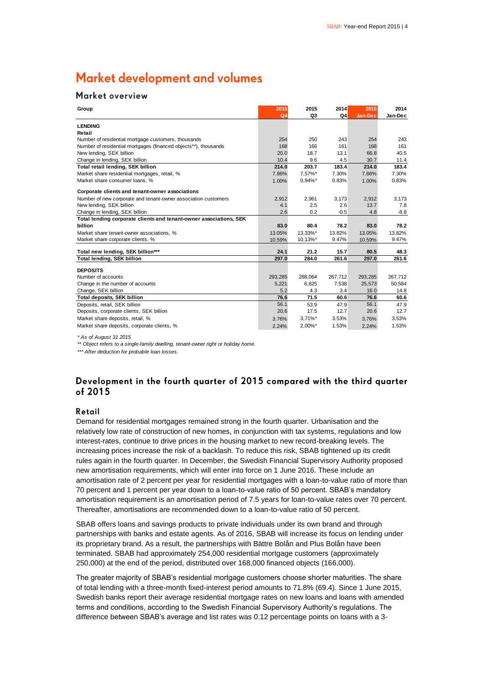# Market development and volumes

### Market overview

| Group                                                              | 2015<br>Q <sub>4</sub> | 2015<br>Q3 | 2014<br>Q4 | 2015<br>Jan-Dec | 2014<br>Jan-Dec |
|--------------------------------------------------------------------|------------------------|------------|------------|-----------------|-----------------|
|                                                                    |                        |            |            |                 |                 |
| <b>LENDING</b>                                                     |                        |            |            |                 |                 |
| Retail                                                             |                        |            |            |                 |                 |
| Number of residential mortgage customers, thousands                | 254                    | 250        | 243        | 254             | 243             |
| Number of residential mortgages (financed objects**), thousands    | 168                    | 166        | 161        | 168             | 161             |
| New lending, SEK billion                                           | 20.0                   | 18.7       | 13.1       | 66.8            | 40.5            |
| Change in lending, SEK billion                                     | 10.4                   | 9.6        | 4.5        | 30.7            | 11.4            |
| Total retail lending, SEK billion                                  | 214.0                  | 203.7      | 183.4      | 214.0           | 183.4           |
| Market share residential mortgages, retail, %                      | 7.86%                  | 7,57%*     | 7.30%      | 7.86%           | 7.30%           |
| Market share consumer loans. %                                     | 1.00%                  | $0.94\%$ * | 0.83%      | 1.00%           | 0.83%           |
| Corporate clients and tenant-owner associations                    |                        |            |            |                 |                 |
| Number of new corporate and tenant-owner association customers     | 2,912                  | 2,961      | 3,173      | 2,912           | 3,173           |
| New lending, SEK billion                                           | 4.1                    | 2.5        | 2.6        | 13.7            | 7.8             |
| Change in lending, SEK billion                                     | 2.6                    | 0.2        | $-0.5$     | 4.8             | $-8.8$          |
| Total lending corporate clients and tenant-owner associations, SEK |                        |            |            |                 |                 |
| billion                                                            | 83.0                   | 80.4       | 78.2       | 83.0            | 78.2            |
| Market share tenant-owner associations, %                          | 13.05%                 | 13,33%*    | 13.82%     | 13.05%          | 13.82%          |
| Market share corporate clients, %                                  | 10.59%                 | 10,13%*    | 9.47%      | 10.59%          | 9.47%           |
| Total new lending, SEK billion***                                  | 24.1                   | 21.2       | 15.7       | 80.5            | 48.3            |
| <b>Total lending, SEK billion</b>                                  | 297.0                  | 284.0      | 261.6      | 297.0           | 261.6           |
|                                                                    |                        |            |            |                 |                 |
| <b>DEPOSITS</b>                                                    |                        |            |            |                 |                 |
| Number of accounts                                                 | 293,285                | 288.064    | 267.712    | 293,285         | 267.712         |
| Change in the number of accounts                                   | 5,221                  | 6,825      | 7,538      | 25,573          | 50,584          |
| Change, SEK billion                                                | 5.2                    | 4.3        | 3.4        | 16.0            | 14.8            |
| <b>Total deposits, SEK billion</b>                                 | 76.6                   | 71.5       | 60.6       | 76.6            | 60.6            |
| Deposits, retail, SEK billion                                      | 56.1                   | 53.9       | 47.9       | 56.1            | 47.9            |
| Deposits, corporate clients, SEK billion                           | 20.6                   | 17.5       | 12.7       | 20.6            | 12.7            |
| Market share deposits, retail, %                                   | 3.76%                  | $3,71\%$ * | 3.53%      | 3.76%           | 3.53%           |
| Market share deposits, corporate clients, %                        | 2.24%                  | $2.00\%$ * | 1.53%      | 2.24%           | 1.53%           |

*\* As of August 31 2015*

*\*\* Object refers to a single-family dwelling, tenant-owner right or holiday home.*

*\*\*\* After deduction for probable loan losses.*

### Development in the fourth quarter of 2015 compared with the third quarter of 2015

#### Retail

Demand for residential mortgages remained strong in the fourth quarter. Urbanisation and the relatively low rate of construction of new homes, in conjunction with tax systems, regulations and low interest-rates, continue to drive prices in the housing market to new record-breaking levels. The increasing prices increase the risk of a backlash. To reduce this risk, SBAB tightened up its credit rules again in the fourth quarter. In December, the Swedish Financial Supervisory Authority proposed new amortisation requirements, which will enter into force on 1 June 2016. These include an amortisation rate of 2 percent per year for residential mortgages with a loan-to-value ratio of more than 70 percent and 1 percent per year down to a loan-to-value ratio of 50 percent. SBAB's mandatory amortisation requirement is an amortisation period of 7.5 years for loan-to-value rates over 70 percent. Thereafter, amortisations are recommended down to a loan-to-value ratio of 50 percent.

SBAB offers loans and savings products to private individuals under its own brand and through partnerships with banks and estate agents. As of 2016, SBAB will increase its focus on lending under its proprietary brand. As a result, the partnerships with Bättre Bolån and Plus Bolån have been terminated. SBAB had approximately 254,000 residential mortgage customers (approximately 250,000) at the end of the period, distributed over 168,000 financed objects (166,000).

The greater majority of SBAB's residential mortgage customers choose shorter maturities. The share of total lending with a three-month fixed-interest period amounts to 71.8% (69.4). Since 1 June 2015, Swedish banks report their average residential mortgage rates on new loans and loans with amended terms and conditions, according to the Swedish Financial Supervisory Authority's regulations. The difference between SBAB's average and list rates was 0.12 percentage points on loans with a 3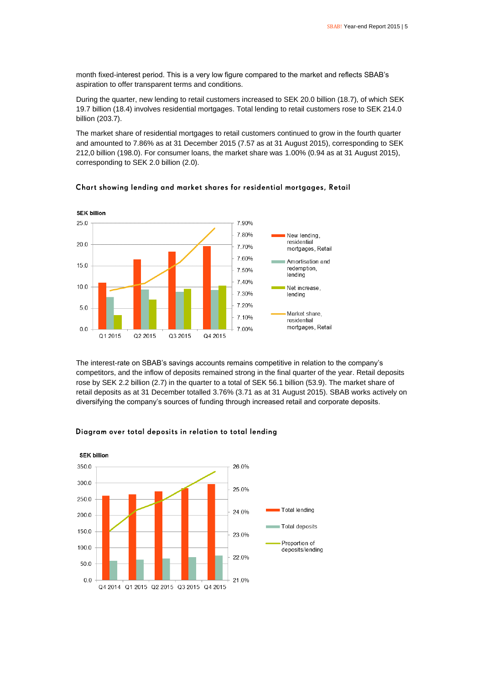month fixed-interest period. This is a very low figure compared to the market and reflects SBAB's aspiration to offer transparent terms and conditions.

During the quarter, new lending to retail customers increased to SEK 20.0 billion (18.7), of which SEK 19.7 billion (18.4) involves residential mortgages. Total lending to retail customers rose to SEK 214.0 billion (203.7).

The market share of residential mortgages to retail customers continued to grow in the fourth quarter and amounted to 7.86% as at 31 December 2015 (7.57 as at 31 August 2015), corresponding to SEK 212,0 billion (198.0). For consumer loans, the market share was 1.00% (0.94 as at 31 August 2015), corresponding to SEK 2.0 billion (2.0).



### Chart showing lending and market shares for residential mortgages, Retail

The interest-rate on SBAB's savings accounts remains competitive in relation to the company's competitors, and the inflow of deposits remained strong in the final quarter of the year. Retail deposits rose by SEK 2.2 billion (2.7) in the quarter to a total of SEK 56.1 billion (53.9). The market share of retail deposits as at 31 December totalled 3.76% (3.71 as at 31 August 2015). SBAB works actively on diversifying the company's sources of funding through increased retail and corporate deposits.



### Diagram over total deposits in relation to total lending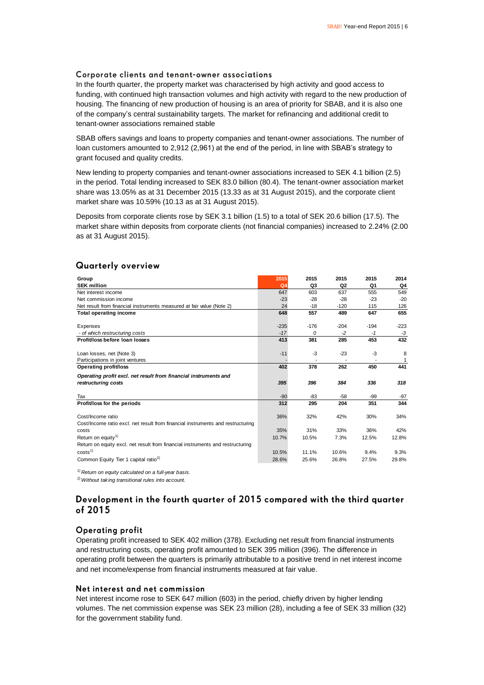### Corporate clients and tenant-owner associations

In the fourth quarter, the property market was characterised by high activity and good access to funding, with continued high transaction volumes and high activity with regard to the new production of housing. The financing of new production of housing is an area of priority for SBAB, and it is also one of the company's central sustainability targets. The market for refinancing and additional credit to tenant-owner associations remained stable

SBAB offers savings and loans to property companies and tenant-owner associations. The number of loan customers amounted to 2,912 (2,961) at the end of the period, in line with SBAB's strategy to grant focused and quality credits.

New lending to property companies and tenant-owner associations increased to SEK 4.1 billion (2.5) in the period. Total lending increased to SEK 83.0 billion (80.4). The tenant-owner association market share was 13.05% as at 31 December 2015 (13.33 as at 31 August 2015), and the corporate client market share was 10.59% (10.13 as at 31 August 2015).

Deposits from corporate clients rose by SEK 3.1 billion (1.5) to a total of SEK 20.6 billion (17.5). The market share within deposits from corporate clients (not financial companies) increased to 2.24% (2.00 as at 31 August 2015).

| Group                                                                                                | 2015           | 2015           | 2015           | 2015   | 2014   |
|------------------------------------------------------------------------------------------------------|----------------|----------------|----------------|--------|--------|
| <b>SEK million</b>                                                                                   | Q <sub>4</sub> | Q <sub>3</sub> | Q <sub>2</sub> | Q1     | Q4     |
| Net interest income                                                                                  | 647            | 603            | 637            | 555    | 549    |
| Net commission income                                                                                | $-23$          | $-28$          | $-28$          | $-23$  | $-20$  |
| Net result from financial instruments measured at fair value (Note 2)                                | 24             | $-18$          | $-120$         | 115    | 126    |
| <b>Total operating income</b>                                                                        | 648            | 557            | 489            | 647    | 655    |
| Expenses                                                                                             | $-235$         | $-176$         | $-204$         | $-194$ | $-223$ |
| - of which restructuring costs                                                                       | $-17$          | 0              | $-2$           | $-1$   | $-3$   |
| Profit/loss before loan losses                                                                       | 413            | 381            | 285            | 453    | 432    |
|                                                                                                      |                |                |                |        |        |
| Loan losses, net (Note 3)                                                                            | $-11$          | $-3$           | $-23$          | $-3$   | 8      |
| Participations in joint ventures                                                                     |                |                |                |        |        |
| <b>Operating profit/loss</b>                                                                         | 402            | 378            | 262            | 450    | 441    |
| Operating profit excl. net result from financial instruments and                                     |                |                |                |        |        |
| restructuring costs                                                                                  | 395            | 396            | 384            | 336    | 318    |
| Tax                                                                                                  | $-90$          | $-83$          | $-58$          | -99    | -97    |
| Profit/loss for the periods                                                                          | 312            | 295            | 204            | 351    | 344    |
| Cost/Income ratio<br>Cost/Income ratio excl. net result from financial instruments and restructuring | 36%            | 32%            | 42%            | 30%    | 34%    |
| costs                                                                                                | 35%            | 31%            | 33%            | 36%    | 42%    |
| Return on equity <sup>1)</sup>                                                                       | 10.7%          | 10.5%          | 7.3%           | 12.5%  | 12.8%  |
| Return on equity excl. net result from financial instruments and restructuring                       |                |                |                |        |        |
| costs <sup>1</sup>                                                                                   | 10.5%          | 11.1%          | 10.6%          | 9.4%   | 9.3%   |
| Common Equity Tier 1 capital ratio <sup>2)</sup>                                                     | 28.6%          | 25.6%          | 26.8%          | 27.5%  | 29.8%  |

### **Quarterly overview**

*1) Return on equity calculated on a full-year basis.*

*2)Without taking transitional rules into account.*

### Development in the fourth quarter of 2015 compared with the third quarter of 2015

### **Operating profit**

Operating profit increased to SEK 402 million (378). Excluding net result from financial instruments and restructuring costs, operating profit amounted to SEK 395 million (396). The difference in operating profit between the quarters is primarily attributable to a positive trend in net interest income and net income/expense from financial instruments measured at fair value.

#### Net interest and net commission

Net interest income rose to SEK 647 million (603) in the period, chiefly driven by higher lending volumes. The net commission expense was SEK 23 million (28), including a fee of SEK 33 million (32) for the government stability fund.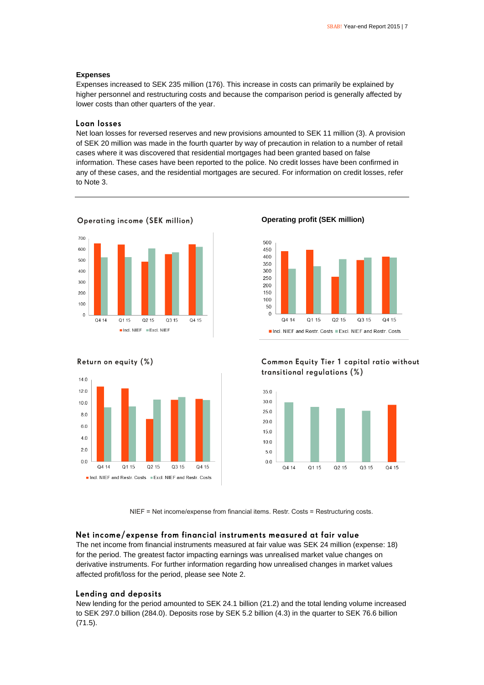#### **Expenses**

Expenses increased to SEK 235 million (176). This increase in costs can primarily be explained by higher personnel and restructuring costs and because the comparison period is generally affected by lower costs than other quarters of the year.

### Loan losses

Net loan losses for reversed reserves and new provisions amounted to SEK 11 million (3). A provision of SEK 20 million was made in the fourth quarter by way of precaution in relation to a number of retail cases where it was discovered that residential mortgages had been granted based on false information. These cases have been reported to the police. No credit losses have been confirmed in any of these cases, and the residential mortgages are secured. For information on credit losses, refer to Note 3.



### **Operating income (SEK million)**



#### **Operating profit (SEK million)**



### Common Equity Tier 1 capital ratio without transitional regulations (%)



NIEF = Net income/expense from financial items. Restr. Costs = Restructuring costs.

### Net income/expense from financial instruments measured at fair value

The net income from financial instruments measured at fair value was SEK 24 million (expense: 18) for the period. The greatest factor impacting earnings was unrealised market value changes on derivative instruments. For further information regarding how unrealised changes in market values affected profit/loss for the period, please see Note 2.

### Lending and deposits

New lending for the period amounted to SEK 24.1 billion (21.2) and the total lending volume increased to SEK 297.0 billion (284.0). Deposits rose by SEK 5.2 billion (4.3) in the quarter to SEK 76.6 billion (71.5).

### Return on equity (%)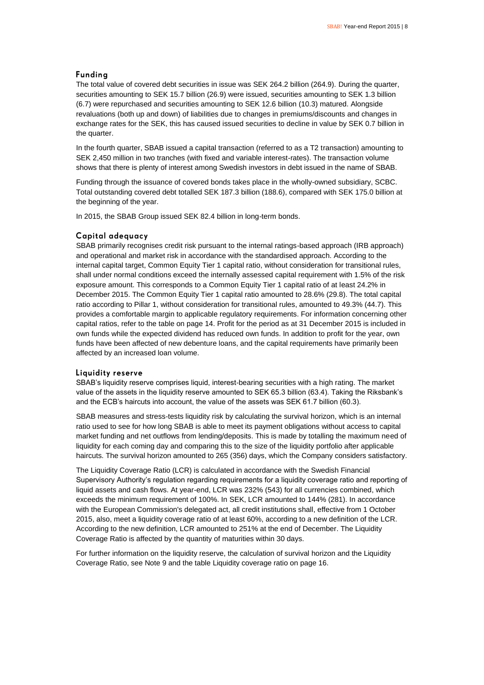### **Funding**

The total value of covered debt securities in issue was SEK 264.2 billion (264.9). During the quarter, securities amounting to SEK 15.7 billion (26.9) were issued, securities amounting to SEK 1.3 billion (6.7) were repurchased and securities amounting to SEK 12.6 billion (10.3) matured. Alongside revaluations (both up and down) of liabilities due to changes in premiums/discounts and changes in exchange rates for the SEK, this has caused issued securities to decline in value by SEK 0.7 billion in the quarter.

In the fourth quarter, SBAB issued a capital transaction (referred to as a T2 transaction) amounting to SEK 2,450 million in two tranches (with fixed and variable interest-rates). The transaction volume shows that there is plenty of interest among Swedish investors in debt issued in the name of SBAB.

Funding through the issuance of covered bonds takes place in the wholly-owned subsidiary, SCBC. Total outstanding covered debt totalled SEK 187.3 billion (188.6), compared with SEK 175.0 billion at the beginning of the year.

In 2015, the SBAB Group issued SEK 82.4 billion in long-term bonds.

### Capital adequacy

SBAB primarily recognises credit risk pursuant to the internal ratings-based approach (IRB approach) and operational and market risk in accordance with the standardised approach. According to the internal capital target, Common Equity Tier 1 capital ratio, without consideration for transitional rules, shall under normal conditions exceed the internally assessed capital requirement with 1.5% of the risk exposure amount. This corresponds to a Common Equity Tier 1 capital ratio of at least 24.2% in December 2015. The Common Equity Tier 1 capital ratio amounted to 28.6% (29.8). The total capital ratio according to Pillar 1, without consideration for transitional rules, amounted to 49.3% (44.7). This provides a comfortable margin to applicable regulatory requirements. For information concerning other capital ratios, refer to the table on page 14. Profit for the period as at 31 December 2015 is included in own funds while the expected dividend has reduced own funds. In addition to profit for the year, own funds have been affected of new debenture loans, and the capital requirements have primarily been affected by an increased loan volume.

#### Liquidity reserve

SBAB's liquidity reserve comprises liquid, interest-bearing securities with a high rating. The market value of the assets in the liquidity reserve amounted to SEK 65.3 billion (63.4). Taking the Riksbank's and the ECB's haircuts into account, the value of the assets was SEK 61.7 billion (60.3).

SBAB measures and stress-tests liquidity risk by calculating the survival horizon, which is an internal ratio used to see for how long SBAB is able to meet its payment obligations without access to capital market funding and net outflows from lending/deposits. This is made by totalling the maximum need of liquidity for each coming day and comparing this to the size of the liquidity portfolio after applicable haircuts. The survival horizon amounted to 265 (356) days, which the Company considers satisfactory.

The Liquidity Coverage Ratio (LCR) is calculated in accordance with the Swedish Financial Supervisory Authority's regulation regarding requirements for a liquidity coverage ratio and reporting of liquid assets and cash flows. At year-end, LCR was 232% (543) for all currencies combined, which exceeds the minimum requirement of 100%. In SEK, LCR amounted to 144% (281). In accordance with the European Commission's delegated act, all credit institutions shall, effective from 1 October 2015, also, meet a liquidity coverage ratio of at least 60%, according to a new definition of the LCR. According to the new definition, LCR amounted to 251% at the end of December. The Liquidity Coverage Ratio is affected by the quantity of maturities within 30 days.

For further information on the liquidity reserve, the calculation of survival horizon and the Liquidity Coverage Ratio, see Note 9 and the table Liquidity coverage ratio on page 16.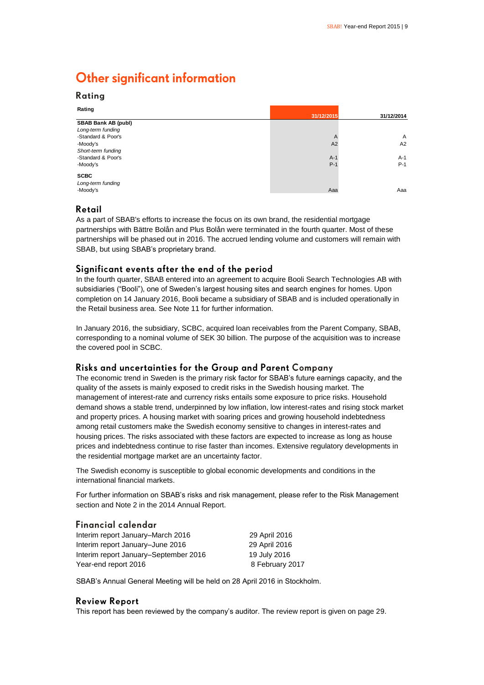# **Other significant information**

| Rating                     | 31/12/2015 | 31/12/2014     |
|----------------------------|------------|----------------|
| <b>SBAB Bank AB (publ)</b> |            |                |
| Long-term funding          |            |                |
| -Standard & Poor's         | A          | $\overline{A}$ |
| -Moody's                   | A2         | A2             |
| Short-term funding         |            |                |
| -Standard & Poor's         | $A-1$      | $A-1$          |
| -Moody's                   | $P-1$      | $P-1$          |
| <b>SCBC</b>                |            |                |
| Long-term funding          |            |                |
| -Moody's                   | Aaa        | Aaa            |

### Retail

Ratina

As a part of SBAB's efforts to increase the focus on its own brand, the residential mortgage partnerships with Bättre Bolån and Plus Bolån were terminated in the fourth quarter. Most of these partnerships will be phased out in 2016. The accrued lending volume and customers will remain with SBAB, but using SBAB's proprietary brand.

### Significant events after the end of the period

In the fourth quarter, SBAB entered into an agreement to acquire Booli Search Technologies AB with subsidiaries ("Booli"), one of Sweden's largest housing sites and search engines for homes. Upon completion on 14 January 2016, Booli became a subsidiary of SBAB and is included operationally in the Retail business area. See Note 11 for further information.

In January 2016, the subsidiary, SCBC, acquired loan receivables from the Parent Company, SBAB, corresponding to a nominal volume of SEK 30 billion. The purpose of the acquisition was to increase the covered pool in SCBC.

### Risks and uncertainties for the Group and Parent Company

The economic trend in Sweden is the primary risk factor for SBAB's future earnings capacity, and the quality of the assets is mainly exposed to credit risks in the Swedish housing market. The management of interest-rate and currency risks entails some exposure to price risks. Household demand shows a stable trend, underpinned by low inflation, low interest-rates and rising stock market and property prices. A housing market with soaring prices and growing household indebtedness among retail customers make the Swedish economy sensitive to changes in interest-rates and housing prices. The risks associated with these factors are expected to increase as long as house prices and indebtedness continue to rise faster than incomes. Extensive regulatory developments in the residential mortgage market are an uncertainty factor.

The Swedish economy is susceptible to global economic developments and conditions in the international financial markets.

For further information on SBAB's risks and risk management, please refer to the Risk Management section and Note 2 in the 2014 Annual Report.

### **Financial calendar**

| Interim report January–March 2016     | 29 April 2016   |
|---------------------------------------|-----------------|
| Interim report January-June 2016      | 29 April 2016   |
| Interim report January-September 2016 | 19 July 2016    |
| Year-end report 2016                  | 8 February 2017 |

SBAB's Annual General Meeting will be held on 28 April 2016 in Stockholm.

### **Review Report**

This report has been reviewed by the company's auditor. The review report is given on page 29.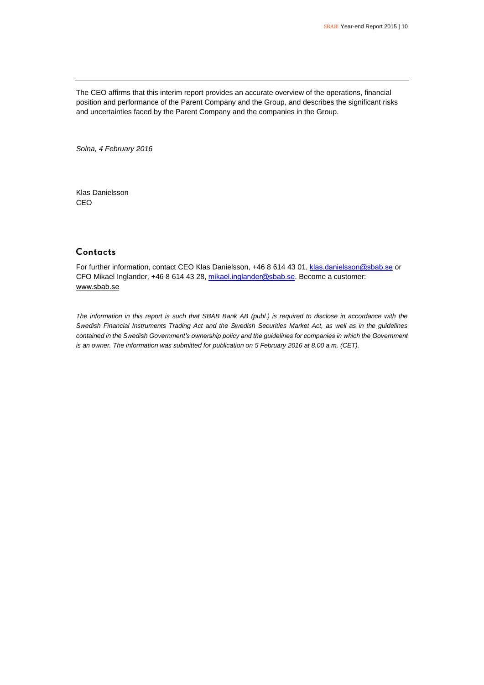The CEO affirms that this interim report provides an accurate overview of the operations, financial position and performance of the Parent Company and the Group, and describes the significant risks and uncertainties faced by the Parent Company and the companies in the Group.

*Solna, 4 February 2016*

Klas Danielsson CEO

### Contacts

For further information, contact CEO Klas Danielsson, +46 8 614 43 01, [klas.danielsson@sbab.se](mailto:klas.danielsson@sbab.se) or CFO Mikael Inglander, +46 8 614 43 28[, mikael.inglander@sbab.se.](mailto:mikael.inglander@sbab.se) Become a customer: [www.sbab.se](http://www.sbab.se/)

*The information in this report is such that SBAB Bank AB (publ.) is required to disclose in accordance with the Swedish Financial Instruments Trading Act and the Swedish Securities Market Act, as well as in the guidelines contained in the Swedish Government's ownership policy and the guidelines for companies in which the Government is an owner. The information was submitted for publication on 5 February 2016 at 8.00 a.m. (CET).*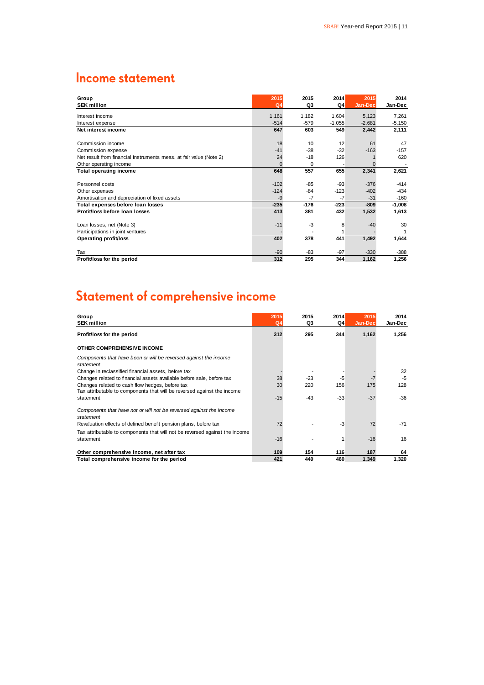# **Income statement**

| Group                                                              | 2015           | 2015     | 2014     | 2015     | 2014     |
|--------------------------------------------------------------------|----------------|----------|----------|----------|----------|
| <b>SEK million</b>                                                 | Q <sub>4</sub> | Q3       | Q4       | Jan-Dec  | Jan-Dec  |
| Interest income                                                    | 1,161          | 1,182    | 1,604    | 5,123    | 7,261    |
| Interest expense                                                   | $-514$         | $-579$   | $-1,055$ | $-2,681$ | $-5,150$ |
| Net interest income                                                | 647            | 603      | 549      | 2,442    | 2,111    |
|                                                                    |                |          |          |          |          |
| Commission income                                                  | 18             | 10       | 12       | 61       | 47       |
| Commission expense                                                 | $-41$          | $-38$    | $-32$    | $-163$   | $-157$   |
| Net result from financial instruments meas. at fair value (Note 2) | 24             | $-18$    | 126      |          | 620      |
| Other operating income                                             | $\Omega$       | $\Omega$ |          |          |          |
| <b>Total operating income</b>                                      | 648            | 557      | 655      | 2,341    | 2,621    |
|                                                                    |                |          |          |          |          |
| Personnel costs                                                    | $-102$         | $-85$    | $-93$    | $-376$   | $-414$   |
| Other expenses                                                     | $-124$         | $-84$    | $-123$   | $-402$   | $-434$   |
| Amortisation and depreciation of fixed assets                      | $-9$           | $-7$     | $-7$     | $-31$    | $-160$   |
| Total expenses before loan losses                                  | $-235$         | $-176$   | $-223$   | $-809$   | $-1,008$ |
| Protit/loss before loan losses                                     | 413            | 381      | 432      | 1,532    | 1,613    |
|                                                                    |                |          |          |          |          |
| Loan losses, net (Note 3)                                          | $-11$          | -3       | 8        | $-40$    | 30       |
| Participations in joint ventures                                   |                |          |          |          |          |
| <b>Operating profit/loss</b>                                       | 402            | 378      | 441      | 1,492    | 1,644    |
|                                                                    |                |          |          |          |          |
| Tax                                                                | $-90$          | -83      | $-97$    | $-330$   | $-388$   |
| Profit/loss for the period                                         | 312            | 295      | 344      | 1,162    | 1,256    |

# Statement of comprehensive income

| Group<br><b>SEK million</b>                                                                                                | 2015<br>Q <sub>4</sub> | 2015<br>Q3 | 2014<br>Q4 | 2015<br>Jan-Dec | 2014<br>Jan-Dec |
|----------------------------------------------------------------------------------------------------------------------------|------------------------|------------|------------|-----------------|-----------------|
| Profit/loss for the period                                                                                                 | 312                    | 295        | 344        | 1,162           | 1,256           |
| OTHER COMPREHENSIVE INCOME                                                                                                 |                        |            |            |                 |                 |
| Components that have been or will be reversed against the income<br>statement                                              |                        |            |            |                 |                 |
| Change in reclassified financial assets, before tax                                                                        |                        |            |            |                 | 32              |
| Changes related to financial assets available before sale, before tax                                                      | 38                     | $-23$      | -5         | -7              | $-5$            |
| Changes related to cash flow hedges, before tax<br>Tax attributable to components that will be reversed against the income | 30                     | 220        | 156        | 175             | 128             |
| statement                                                                                                                  | $-15$                  | $-43$      | $-33$      | $-37$           | $-36$           |
| Components that have not or will not be reversed against the income<br>statement                                           |                        |            |            |                 |                 |
| Revaluation effects of defined benefit pension plans, before tax                                                           | 72                     |            | $-3$       | 72              | $-71$           |
| Tax attributable to components that will not be reversed against the income                                                |                        |            |            |                 |                 |
| statement                                                                                                                  | $-16$                  |            |            | $-16$           | 16              |
| Other comprehensive income, net after tax                                                                                  | 109                    | 154        | 116        | 187             | 64              |
| Total comprehensive income for the period                                                                                  | 421                    | 449        | 460        | 1,349           | 1,320           |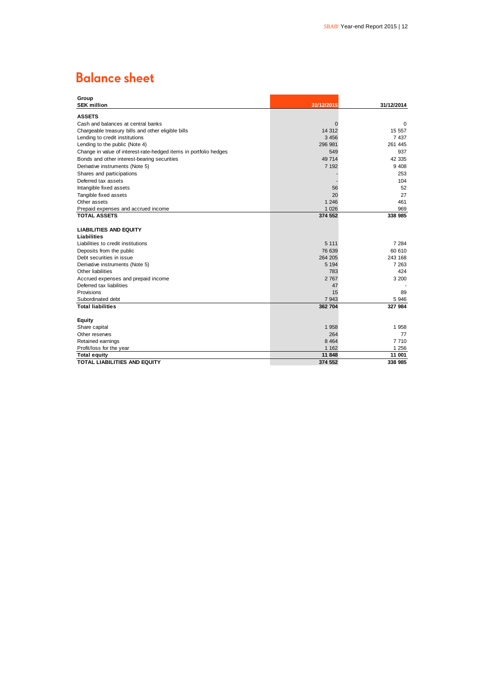# **Balance sheet**

| Group                                                                                                            |            |            |
|------------------------------------------------------------------------------------------------------------------|------------|------------|
| <b>SEK million</b>                                                                                               | 31/12/2015 | 31/12/2014 |
| <b>ASSETS</b>                                                                                                    |            |            |
| Cash and balances at central banks                                                                               | $\Omega$   | 0          |
| Chargeable treasury bills and other eligible bills                                                               | 14 3 12    | 15 557     |
| Lending to credit institutions                                                                                   | 3 4 5 6    | 7 4 3 7    |
| Lending to the public (Note 4)                                                                                   | 296 981    | 261 445    |
|                                                                                                                  | 549        | 937        |
| Change in value of interest-rate-hedged items in portfolio hedges<br>Bonds and other interest-bearing securities | 49 714     | 42 335     |
|                                                                                                                  |            |            |
| Derivative instruments (Note 5)                                                                                  | 7 1 9 2    | 9 4 0 8    |
| Shares and participations                                                                                        |            | 253        |
| Deferred tax assets                                                                                              |            | 104        |
| Intangible fixed assets                                                                                          | 56         | 52         |
| Tangible fixed assets                                                                                            | 20         | 27         |
| Other assets                                                                                                     | 1 2 4 6    | 461        |
| Prepaid expenses and accrued income                                                                              | 1 0 2 6    | 969        |
| <b>TOTAL ASSETS</b>                                                                                              | 374 552    | 338 985    |
|                                                                                                                  |            |            |
| <b>LIABILITIES AND EQUITY</b>                                                                                    |            |            |
| <b>Liabilities</b>                                                                                               |            |            |
| Liabilities to credit institutions                                                                               | 5 1 1 1    | 7 284      |
| Deposits from the public                                                                                         | 76 639     | 60 610     |
| Debt securities in issue                                                                                         | 264 205    | 243 168    |
| Derivative instruments (Note 5)                                                                                  | 5 1 9 4    | 7 2 6 3    |
| Other liabilities                                                                                                | 783        | 424        |
| Accrued expenses and prepaid income                                                                              | 2 7 6 7    | 3 200      |
| Deferred tax liabilities                                                                                         | 47         |            |
| Provisions                                                                                                       | 15         | 89         |
| Subordinated debt                                                                                                | 7943       | 5 9 4 6    |
| <b>Total liabilities</b>                                                                                         | 362 704    | 327 984    |
|                                                                                                                  |            |            |
| <b>Equity</b>                                                                                                    |            |            |
| Share capital                                                                                                    | 1 9 5 8    | 1 958      |
| Other reserves                                                                                                   | 264        | 77         |
| Retained earnings                                                                                                | 8 4 6 4    | 7710       |
| Profit/loss for the year                                                                                         | 1 1 6 2    | 1 256      |
| <b>Total equity</b>                                                                                              | 11 848     | 11 001     |
| <b>TOTAL LIABILITIES AND EQUITY</b>                                                                              | 374 552    | 338 985    |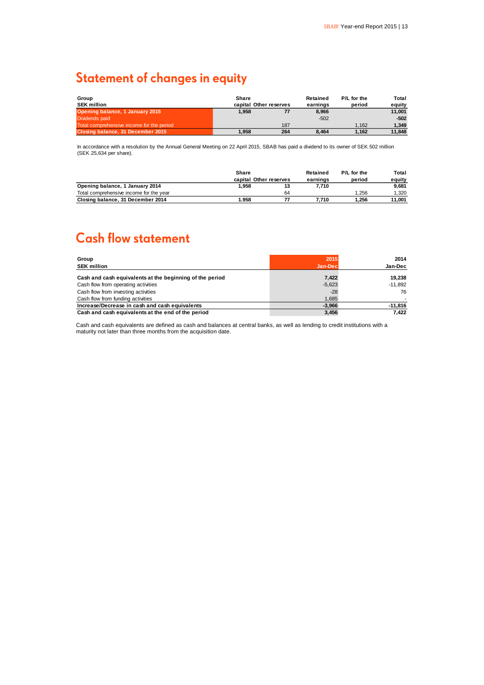# **Statement of changes in equity**

| Group                                     | Share |                        | Retained | P/L for the | Total  |
|-------------------------------------------|-------|------------------------|----------|-------------|--------|
| <b>SEK million</b>                        |       | capital Other reserves | earnings | period      | eauitv |
| Opening balance, 1 January 2015           | 1.958 |                        | 8.966    |             | 11.001 |
| Dividends paid                            |       |                        | $-502$   |             | $-502$ |
| Total comprehensive income for the period |       | 187                    |          | 1.162       | 1,349  |
| Closing balance, 31 December 2015         | 1.958 | 264                    | 8.464    | 1.162       | 11.848 |

In accordance with a resolution by the Annual General Meeting on 22 April 2015, SBAB has paid a dividend to its owner of SEK 502 million (SEK 25,634 per share).

|                                         | Share                  |    | Retained | P/L for the | Total  |
|-----------------------------------------|------------------------|----|----------|-------------|--------|
|                                         | capital Other reserves |    | earnings | period      | eauitv |
| Opening balance, 1 January 2014         | 1.958                  | 13 | 7.710    |             | 9.681  |
| Total comprehensive income for the year |                        | 64 |          | .256        | 1.320  |
| Closing balance, 31 December 2014       | 1.958                  |    | 7.710    | 1.256       | 11.001 |

# **Cash flow statement**

| Group<br><b>SEK million</b>                              | 2015<br>Jan-Dec | 2014<br>Jan-Dec |
|----------------------------------------------------------|-----------------|-----------------|
| Cash and cash equivalents at the beginning of the period | 7,422           | 19.238          |
| Cash flow from operating activities                      | $-5,623$        | $-11.892$       |
| Cash flow from investing activities                      | $-28$           | 76              |
| Cash flow from funding activities                        | 1,685           |                 |
| Increase/Decrease in cash and cash equivalents           | $-3.966$        | $-11,816$       |
| Cash and cash equivalents at the end of the period       | 3,456           | 7.422           |

Cash and cash equivalents are defined as cash and balances at central banks, as well as lending to credit institutions with a maturity not later than three months from the acquisition date.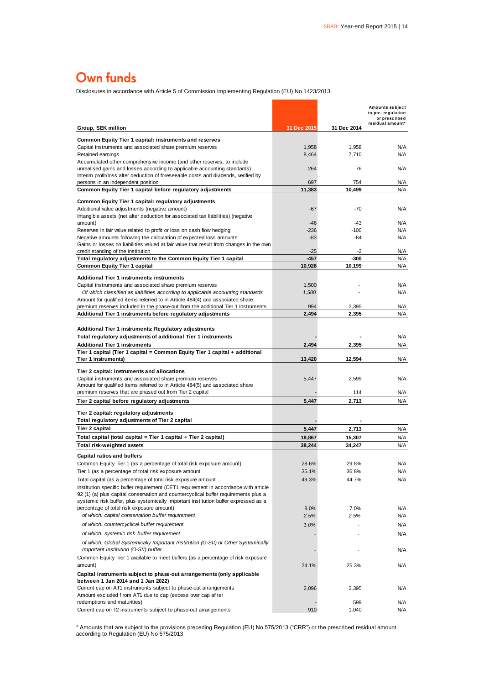# Own funds

Disclosures in accordance with Article 5 of Commission Implementing Regulation (EU) No 1423/2013.

| Disclosures in accordance with Article 5 of Commission Implementing Regulation (EU) No 1423/2013.                                                                                                                                                                  |                 |                |                                                                           |
|--------------------------------------------------------------------------------------------------------------------------------------------------------------------------------------------------------------------------------------------------------------------|-----------------|----------------|---------------------------------------------------------------------------|
|                                                                                                                                                                                                                                                                    |                 |                | Amounts subject<br>to pre-regulation<br>or prescribed<br>residual amount* |
| Group, SEK million                                                                                                                                                                                                                                                 | 31 Dec 2015     | 31 Dec 2014    |                                                                           |
| Common Equity Tier 1 capital: instruments and reserves<br>Capital instruments and associated share premium reserves<br>Retained earnings                                                                                                                           | 1,958<br>8,464  | 1,958<br>7,710 | N/A<br>N/A                                                                |
| Accumulated other comprehensive income (and other reserves, to include<br>unrealised gains and losses according to applicable accounting standards)<br>Interim profit/loss after deduction of foreseeable costs and dividends, verified by                         | 264             | 76             | N/A                                                                       |
| persons in an independent position                                                                                                                                                                                                                                 | 697             | 754            | N/A                                                                       |
| Common Equity Tier 1 capital before regulatory adjustments                                                                                                                                                                                                         | 11,383          | 10,499         | N/A                                                                       |
| Common Equity Tier 1 capital: regulatory adjustments<br>Additional value adjustments (negative amount)<br>Intangible assets (net after deduction for associated tax liabilities) (negative                                                                         | $-67$           | $-70$          | N/A                                                                       |
| amount)                                                                                                                                                                                                                                                            | -46             | $-43$          | N/A<br>N/A                                                                |
| Reserves in fair value related to profit or loss on cash flow hedging<br>Negative amounts following the calculation of expected loss amounts<br>Gains or losses on liabilities valued at fair value that result from changes in the own                            | $-236$<br>$-83$ | $-100$<br>-84  | N/A                                                                       |
| credit standing of the institution<br>Total regulatory adjustments to the Common Equity Tier 1 capital                                                                                                                                                             | $-25$<br>$-457$ | -2<br>-300     | N/A<br>N/A                                                                |
| <b>Common Equity Tier 1 capital</b>                                                                                                                                                                                                                                | 10,926          | 10.199         | N/A                                                                       |
|                                                                                                                                                                                                                                                                    |                 |                |                                                                           |
| Additional Tier 1 instruments: instruments<br>Capital instruments and associated share premium reserves                                                                                                                                                            | 1,500           |                | N/A                                                                       |
| Of which classified as liabilities according to applicable accounting standards                                                                                                                                                                                    | 1,500           |                | N/A                                                                       |
| Amount for qualified items referred to in Article 484(4) and associated share                                                                                                                                                                                      |                 |                |                                                                           |
| premium reserves included in the phase-out from the additional Tier 1 instruments                                                                                                                                                                                  | 994             | 2,395          | N/A                                                                       |
| Additional Tier 1 instruments before regulatory adjustments                                                                                                                                                                                                        | 2,494           | 2,395          | N/A                                                                       |
| Additional Tier 1 instruments: Regulatory adjustments                                                                                                                                                                                                              |                 |                |                                                                           |
| Total regulatory adjustments of additional Tier 1 instruments                                                                                                                                                                                                      |                 |                | N/A                                                                       |
| <b>Additional Tier 1 instruments</b>                                                                                                                                                                                                                               | 2,494           | 2,395          | N/A                                                                       |
| Tier 1 capital (Tier 1 capital = Common Equity Tier 1 capital + additional<br>Tier 1 instruments)                                                                                                                                                                  | 13,420          | 12,594         | N/A                                                                       |
|                                                                                                                                                                                                                                                                    |                 |                |                                                                           |
| Tier 2 capital: instruments and allocations                                                                                                                                                                                                                        |                 |                |                                                                           |
| Capital instruments and associated share premium reserves<br>Amount for qualified items referred to in Article 484(5) and associated share                                                                                                                         | 5,447           | 2,599          | N/A                                                                       |
| premium reserves that are phased out from Tier 2 capital                                                                                                                                                                                                           |                 | 114            | N/A                                                                       |
| Tier 2 capital before regulatory adjustments                                                                                                                                                                                                                       | 5,447           | 2,713          | N/A                                                                       |
| Tier 2 capital: regulatory adjustments<br>Total regulatory adjustments of Tier 2 capital                                                                                                                                                                           |                 |                |                                                                           |
| Tier 2 capital                                                                                                                                                                                                                                                     | 5,447           | 2,713          | N/A                                                                       |
| Total capital (total capital = Tier 1 capital + Tier 2 capital)                                                                                                                                                                                                    | 18,867          | 15,307         | N/A                                                                       |
| Total risk-weighted assets                                                                                                                                                                                                                                         | 38,244          | 34,247         | N/A                                                                       |
| <b>Capital ratios and buffers</b>                                                                                                                                                                                                                                  |                 |                |                                                                           |
| Common Equity Tier 1 (as a percentage of total risk exposure amount)                                                                                                                                                                                               | 28.6%           | 29.8%          | N/A                                                                       |
| Tier 1 (as a percentage of total risk exposure amount<br>Total capital (as a percentage of total risk exposure amount                                                                                                                                              | 35.1%<br>49.3%  | 36.8%<br>44.7% | N/A<br>N/A                                                                |
| Institution specific buffer requirement (CET1 requirement in accordance with article<br>92 (1) (a) plus capital conservation and countercyclical buffer requirements plus a<br>systemic risk buffer, plus systemically important institution buffer expressed as a |                 |                |                                                                           |
| percentage of total risk exposure amount)                                                                                                                                                                                                                          | 8.0%            | 7.0%           | N/A                                                                       |
| of which: capital conservation buffer requirement                                                                                                                                                                                                                  | 2.5%            | 2.5%           | N/A                                                                       |
| of which: countercyclical buffer requirement                                                                                                                                                                                                                       | 1.0%            |                | N/A                                                                       |
| of which: systemic risk buffer requirement                                                                                                                                                                                                                         |                 |                | N/A                                                                       |
| of which: Global Systemically Important Institution (G-SII) or Other Systemically<br>Important Institution (O-SII) buffer                                                                                                                                          |                 |                | N/A                                                                       |
| Common Equity Tier 1 available to meet buffers (as a percentage of risk exposure<br>amount)                                                                                                                                                                        | 24.1%           | 25.3%          | N/A                                                                       |
| Capital instruments subject to phase-out arrangements (only applicable                                                                                                                                                                                             |                 |                |                                                                           |
| between 1 Jan 2014 and 1 Jan 2022)                                                                                                                                                                                                                                 |                 |                |                                                                           |
| Current cap on AT1 instruments subject to phase-out arrangements<br>Amount excluded f rom AT1 due to cap (excess over cap af ter                                                                                                                                   | 2,096           | 2,395          | N/A                                                                       |
| redemptions and maturities)                                                                                                                                                                                                                                        |                 | 599            | N/A                                                                       |
| Current cap on T2 instruments subject to phase-out arrangements                                                                                                                                                                                                    | 910             | 1,040          | N/A                                                                       |

\* Amounts that are subject to the provisions preceding Regulation (EU) No 575/2013 ("CRR") or the prescribed residual amount according to Regulation (EU) No 575/2013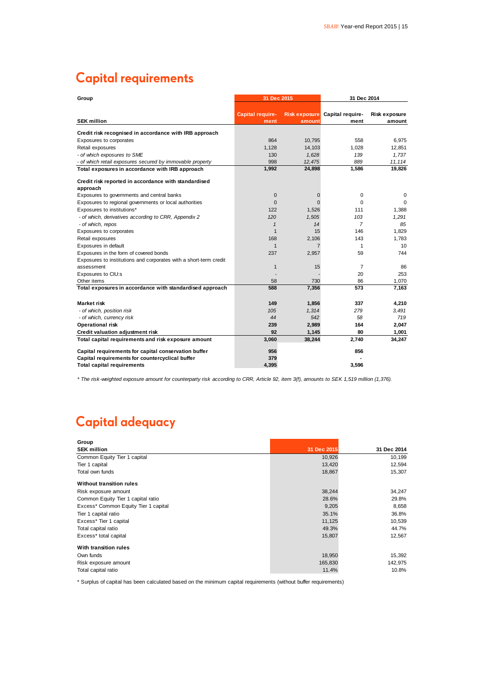# **Capital requirements**

| Group                                                             | 31 Dec 2015             |             | 31 Dec 2014                    |                 |  |
|-------------------------------------------------------------------|-------------------------|-------------|--------------------------------|-----------------|--|
|                                                                   |                         |             |                                |                 |  |
|                                                                   | <b>Capital require-</b> |             | Risk exposure Capital require- | Risk exposure   |  |
| <b>SEK million</b>                                                | ment                    | amount      | ment                           | amount          |  |
| Credit risk recognised in accordance with IRB approach            |                         |             |                                |                 |  |
| Exposures to corporates                                           | 864                     | 10,795      | 558                            | 6,975           |  |
| Retail exposures                                                  | 1,128                   | 14,103      | 1,028                          | 12,851          |  |
| - of which exposures to SME                                       | 130                     | 1,628       | 139                            | 1.737           |  |
| - of which retail exposures secured by immovable property         | 998                     | 12,475      | 889                            | 11,114          |  |
| Total exposures in accordance with IRB approach                   | 1,992                   | 24,898      | 1,586                          | 19,826          |  |
| Credit risk reported in accordance with standardised              |                         |             |                                |                 |  |
| approach                                                          |                         |             |                                |                 |  |
| Exposures to governments and central banks                        | 0                       | $\mathbf 0$ | 0                              | 0               |  |
| Exposures to regional governments or local authorities            | $\Omega$                | $\Omega$    | $\Omega$                       | $\Omega$        |  |
| Exposures to institutions*                                        | 122                     | 1,526       | 111                            | 1,388           |  |
| - of which, derivatives according to CRR, Appendix 2              | 120                     | 1.505       | 103                            | 1.291           |  |
| - of which, repos                                                 | $\mathbf{1}$            | 14          | $\overline{7}$                 | 85              |  |
| Exposures to corporates                                           | $\mathbf{1}$            | 15          | 146                            | 1,829           |  |
| Retail exposures                                                  | 168                     | 2,106       | 143                            | 1.783           |  |
| Exposures in default                                              | $\mathbf{1}$            |             | 1                              | 10 <sup>1</sup> |  |
| Exposures in the form of covered bonds                            | 237                     | 2,957       | 59                             | 744             |  |
| Exposures to institutions and corporates with a short-term credit |                         |             |                                |                 |  |
| assessment                                                        | $\mathbf{1}$            | 15          | $\overline{7}$                 | 86              |  |
| Exposures to CIU:s                                                |                         |             | 20                             | 253             |  |
| Other items                                                       | 58                      | 730         | 86                             | 1,070           |  |
| Total exposures in accordance with standardised approach          | 588                     | 7,356       | 573                            | 7,163           |  |
| Market risk                                                       | 149                     | 1,856       | 337                            | 4.210           |  |
| - of which, position risk                                         | 105                     | 1,314       | 279                            | 3,491           |  |
| - of which, currency risk                                         | 44                      | 542         | 58                             | 719             |  |
| <b>Operational risk</b>                                           | 239                     | 2,989       | 164                            | 2,047           |  |
| <b>Credit valuation adjustment risk</b>                           | 92                      | 1,145       | 80                             | 1,001           |  |
| Total capital requirements and risk exposure amount               | 3,060                   | 38,244      | 2,740                          | 34,247          |  |
| Capital requirements for capital conservation buffer              | 956                     |             | 856                            |                 |  |
| Capital requirements for countercyclical buffer                   | 379                     |             |                                |                 |  |
| <b>Total capital requirements</b>                                 | 4,395                   |             | 3,596                          |                 |  |

*\* The risk-weighted exposure amount for counterparty risk according to CRR, Article 92, item 3(f), amounts to SEK 1,519 million (1,376).*

# **Capital adequacy**

| Group<br><b>SEK million</b>          | 31 Dec 2015 | 31 Dec 2014 |
|--------------------------------------|-------------|-------------|
|                                      |             |             |
| Common Equity Tier 1 capital         | 10,926      | 10,199      |
| Tier 1 capital                       | 13,420      | 12,594      |
| Total own funds                      | 18,867      | 15,307      |
| <b>Without transition rules</b>      |             |             |
| Risk exposure amount                 | 38,244      | 34,247      |
| Common Equity Tier 1 capital ratio   | 28.6%       | 29.8%       |
| Excess* Common Equity Tier 1 capital | 9,205       | 8,658       |
| Tier 1 capital ratio                 | 35.1%       | 36.8%       |
| Excess* Tier 1 capital               | 11,125      | 10,539      |
| Total capital ratio                  | 49.3%       | 44.7%       |
| Excess* total capital                | 15,807      | 12,567      |
| With transition rules                |             |             |
| Own funds                            | 18,950      | 15,392      |
| Risk exposure amount                 | 165,830     | 142,975     |
| Total capital ratio                  | 11.4%       | 10.8%       |

\* Surplus of capital has been calculated based on the minimum capital requirements (without buffer requirements)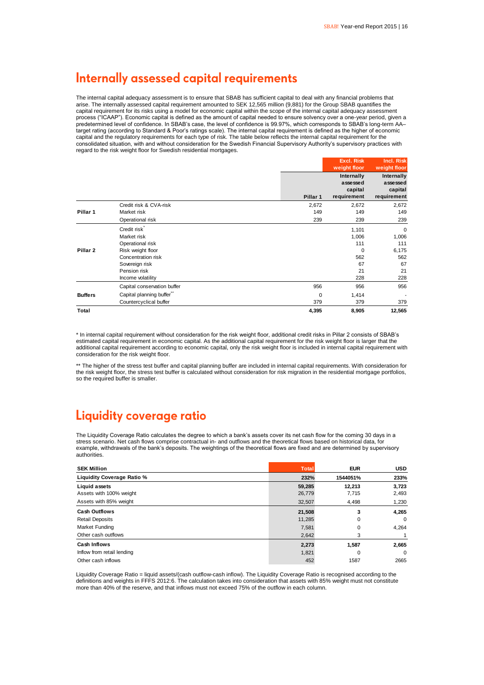# Internally assessed capital requirements

The internal capital adequacy assessment is to ensure that SBAB has sufficient capital to deal with any financial problems that arise. The internally assessed capital requirement amounted to SEK 12,565 million (9,881) for the Group SBAB quantifies the capital requirement for its risks using a model for economic capital within the scope of the internal capital adequacy assessment process ("ICAAP"). Economic capital is defined as the amount of capital needed to ensure solvency over a one-year period, given a predetermined level of confidence. In SBAB's case, the level of confidence is 99.97%, which corresponds to SBAB's long-term AA– target rating (according to Standard & Poor's ratings scale). The internal capital requirement is defined as the higher of economic capital and the regulatory requirements for each type of risk. The table below reflects the internal capital requirement for the consolidated situation, with and without consideration for the Swedish Financial Supervisory Authority's supervisory practices with regard to the risk weight floor for Swedish residential mortgages.

|                     |                                                                                                                                                               |                     | <b>Excl. Risk</b><br>weight floor                           | Incl. Risk<br>weight floor                                     |
|---------------------|---------------------------------------------------------------------------------------------------------------------------------------------------------------|---------------------|-------------------------------------------------------------|----------------------------------------------------------------|
|                     |                                                                                                                                                               | Pillar 1            | Internally<br>assessed<br>capital<br>requirement            | Internally<br>assessed<br>capital<br>requirement               |
| Pillar 1            | Credit risk & CVA-risk<br>Market risk<br>Operational risk                                                                                                     | 2,672<br>149<br>239 | 2,672<br>149<br>239                                         | 2,672<br>149<br>239                                            |
| Pillar <sub>2</sub> | Credit risk <sup>*</sup><br>Market risk<br>Operational risk<br>Risk weight floor<br>Concentration risk<br>Sovereign risk<br>Pension risk<br>Income volatility |                     | 1,101<br>1,006<br>111<br>$\Omega$<br>562<br>67<br>21<br>228 | $\mathbf 0$<br>1,006<br>111<br>6,175<br>562<br>67<br>21<br>228 |
| <b>Buffers</b>      | Capital conservation buffer<br>Capital planning buffer"<br>Countercyclical buffer                                                                             | 956<br>0<br>379     | 956<br>1,414<br>379                                         | 956<br>379                                                     |
| Total               |                                                                                                                                                               | 4,395               | 8,905                                                       | 12,565                                                         |

\* In internal capital requirement without consideration for the risk weight floor, additional credit risks in Pillar 2 consists of SBAB's estimated capital requirement in economic capital. As the additional capital requirement for the risk weight floor is larger that the additional capital requirement according to economic capital, only the risk weight floor is included in internal capital requirement with consideration for the risk weight floor.

\*\* The higher of the stress test buffer and capital planning buffer are included in internal capital requirements. With consideration for the risk weight floor, the stress test buffer is calculated without consideration for risk migration in the residential mortgage portfolios, so the required buffer is smaller.

# Liquidity coverage ratio

The Liquidity Coverage Ratio calculates the degree to which a bank's assets cover its net cash flow for the coming 30 days in a stress scenario. Net cash flows comprise contractual in- and outflows and the theoretical flows based on historical data, for example, withdrawals of the bank's deposits. The weightings of the theoretical flows are fixed and are determined by supervisory authorities.

| <b>SEK Million</b>         | <b>Total</b> | <b>EUR</b> | <b>USD</b>  |
|----------------------------|--------------|------------|-------------|
| Liquidity Coverage Ratio % | 232%         | 1544051%   | 233%        |
| <b>Liquid assets</b>       | 59,285       | 12.213     | 3,723       |
| Assets with 100% weight    | 26,779       | 7,715      | 2,493       |
| Assets with 85% weight     | 32,507       | 4,498      | 1,230       |
| <b>Cash Outflows</b>       | 21,508       | 3          | 4,265       |
| <b>Retail Deposits</b>     | 11,285       | 0          | $\mathbf 0$ |
| Market Funding             | 7,581        | 0          | 4,264       |
| Other cash outflows        | 2,642        | 3          |             |
| <b>Cash Inflows</b>        | 2,273        | 1,587      | 2,665       |
| Inflow from retail lending | 1,821        | 0          | $\mathbf 0$ |
| Other cash inflows         | 452          | 1587       | 2665        |

Liquidity Coverage Ratio = liquid assets/(cash outflow-cash inflow). The Liquidity Coverage Ratio is recognised according to the definitions and weights in FFFS 2012:6. The calculation takes into consideration that assets with 85% weight must not constitute more than 40% of the reserve, and that inflows must not exceed 75% of the outflow in each column.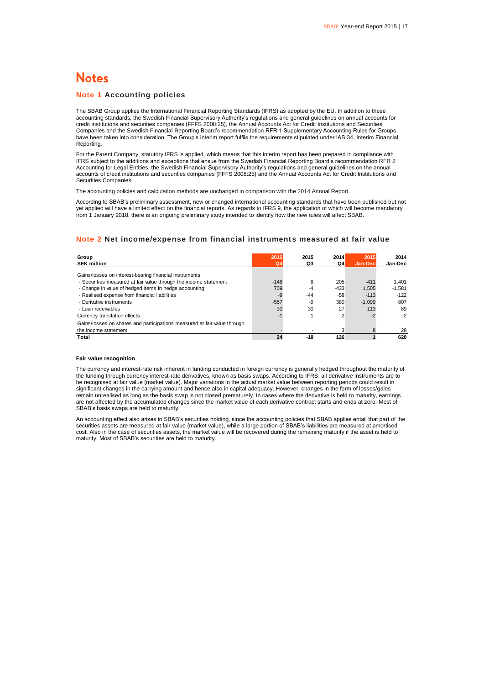# **Notes**

#### **Note 1 Accounting policies**

The SBAB Group applies the International Financial Reporting Standards (IFRS) as adopted by the EU. In addition to these accounting standards, the Swedish Financial Supervisory Authority's regulations and general guidelines on annual accounts for credit institutions and securities companies (FFFS 2008:25), the Annual Accounts Act for Credit Institutions and Securities Companies and the Swedish Financial Reporting Board's recommendation RFR 1 Supplementary Accounting Rules for Groups have been taken into consideration. The Group's interim report fulfils the requirements stipulated under IAS 34, Interim Financial Reporting.

For the Parent Company, statutory IFRS is applied, which means that this interim report has been prepared in compliance with IFRS subject to the additions and exceptions that ensue from the Swedish Financial Reporting Board's recommendation RFR 2 Accounting for Legal Entities, the Swedish Financial Supervisory Authority's regulations and general guidelines on the annual accounts of credit institutions and securities companies (FFFS 2008:25) and the Annual Accounts Act for Credit Institutions and Securities Companies.

The accounting policies and calculation methods are unchanged in comparison with the 2014 Annual Report.

According to SBAB's preliminary assessment, new or changed international accounting standards that have been published but not yet applied will have a limited effect on the financial reports. As regards to IFRS 9, the application of which will become mandatory from 1 January 2018, there is an ongoing preliminary study intended to identify how the new rules will affect SBAB.

### **Note 2 Net income/expense from financial instruments measured at fair value**

| Group<br><b>SEK million</b>                                              | 2015<br>Q <sub>4</sub> | 2015<br>Q3 | 2014<br>Q4 | 2015<br>Jan-Dec | 2014<br>Jan-Dec |
|--------------------------------------------------------------------------|------------------------|------------|------------|-----------------|-----------------|
| Gains/losses on interest-bearing financial instruments                   |                        |            |            |                 |                 |
| - Securities measured at fair value through the income statement         | $-148$                 | 8          | 205        | $-411$          | 1.401           |
| - Change in value of hedged items in hedge accounting                    | 709                    | $-4$       | $-433$     | 1.505           | $-1.581$        |
| - Realised expense from financial liabilities                            | $-9$                   | $-44$      | $-58$      | $-113$          | $-122$          |
| - Derivative instruments                                                 | $-557$                 | -9         | 380        | $-1.099$        | 807             |
| - Loan receivables                                                       | 30                     | 30         | 27         | 113             | 89              |
| Currency translation effects                                             | $-1$                   |            | 2          | -2              | $-2$            |
| Gains/losses on shares and participations measured at fair value through |                        |            |            |                 |                 |
| the income statement                                                     |                        |            | 3          |                 | 28              |
| Total                                                                    | 24                     | $-18$      | 126        |                 | 620             |

#### **Fair value recognition**

The currency and interest-rate risk inherent in funding conducted in foreign currency is generally hedged throughout the maturity of the funding through currency interest-rate derivatives, known as basis swaps. According to IFRS, all derivative instruments are to be recognised at fair value (market value). Major variations in the actual market value between reporting periods could result in significant changes in the carrying amount and hence also in capital adequacy. However, changes in the form of losses/gains remain unrealised as long as the basis swap is not closed prematurely. In cases where the derivative is held to maturity, earnings are not affected by the accumulated changes since the market value of each derivative contract starts and ends at zero. Most of SBAB's basis swaps are held to maturity.

An accounting effect also arises in SBAB's securities holding, since the accounting policies that SBAB applies entail that part of the securities assets are measured at fair value (market value), while a large portion of SBAB's liabilities are measured at amortised cost. Also in the case of securities assets, the market value will be recovered during the remaining maturity if the asset is held to maturity. Most of SBAB's securities are held to maturity.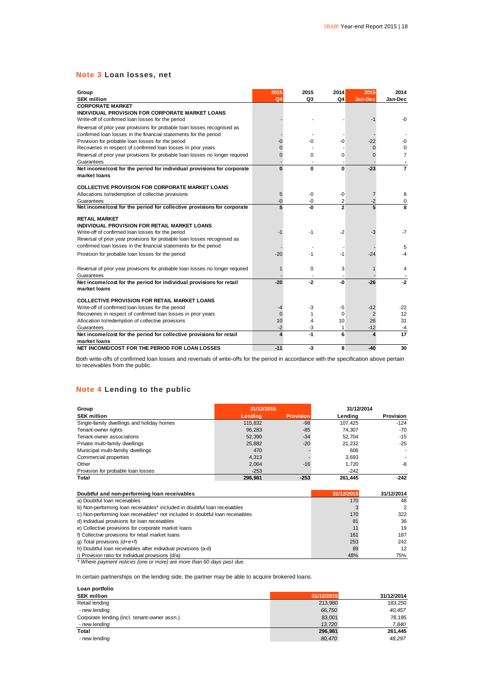### **Note 3 Loan losses, net**

| Group<br><b>SEK million</b>                                                         | 2015<br>Q <sub>4</sub> | 2015<br>Q3 | 2014<br>Q4               | 2015<br>Jan-Dec | 2014<br>Jan-Dec |
|-------------------------------------------------------------------------------------|------------------------|------------|--------------------------|-----------------|-----------------|
| <b>CORPORATE MARKET</b>                                                             |                        |            |                          |                 |                 |
| INDIVIDUAL PROVISION FOR CORPORATE MARKET LOANS                                     |                        |            |                          |                 |                 |
| Write-off of confirmed loan losses for the period                                   |                        |            |                          | -1              | $-0$            |
| Reversal of prior year provisions for probable loan losses recognised as            |                        |            |                          |                 |                 |
| confirmed loan losses in the financial statements for the period                    |                        |            |                          |                 |                 |
| Provision for probable loan losses for the period                                   | -0                     | -0         | -0                       | $-22$           | -0              |
| Recoveries in respect of confirmed loan losses in prior years                       | U                      |            |                          | $\Omega$        | $\Omega$        |
| Reversal of prior year provisions for probable loan losses no longer required       | ŋ                      | $\Omega$   | 0                        | O               | $\overline{7}$  |
| Guarantees                                                                          |                        |            |                          |                 |                 |
| Net income/cost for the period for individual provisions for corporate              | $\Omega$               | 0          | 0                        | $-23$           | 7               |
| market loans                                                                        |                        |            |                          |                 |                 |
| <b>COLLECTIVE PROVISION FOR CORPORATE MARKET LOANS</b>                              |                        |            |                          |                 |                 |
| Allocations to/redemption of collective provisions                                  | 5                      | -0         | -0                       | 7               | 8               |
| Guarantees                                                                          | -0                     | -0         | 2                        | -2              | 0               |
| Net income/cost for the period for collective provisions for corporate              | 5                      | -0         | $\overline{\phantom{a}}$ | 5               | 8               |
| <b>RETAIL MARKET</b><br>INDIVIDUAL PROVISION FOR RETAIL MARKET LOANS                |                        |            |                          |                 |                 |
| Write-off of confirmed loan losses for the period                                   | -1                     | -1         | -2                       | -3              | $-7$            |
| Reversal of prior year provisions for probable loan losses recognised as            |                        |            |                          |                 |                 |
| confirmed loan losses in the financial statements for the period                    |                        |            |                          |                 | 5               |
| Provision for probable loan losses for the period                                   | $-20$                  | -1         | -1                       | $-24$           | -4              |
| Reversal of prior year provisions for probable loan losses no longer required       |                        | $\Omega$   | 3                        |                 | 4               |
| Guarantees                                                                          |                        |            |                          |                 |                 |
| Net income/cost for the period for individual provisions for retail<br>market loans | $-20$                  | $-2$       | -0                       | $-26$           | $-2$            |
| <b>COLLECTIVE PROVISION FOR RETAIL MARKET LOANS</b>                                 |                        |            |                          |                 |                 |
| Write-off of confirmed loan losses for the period                                   | -4                     | -3         | -5                       | $-12$           | $-22$           |
| Recoveries in respect of confirmed loan losses in prior years                       | $\Omega$               | 1          | $\Omega$                 | 2               | 12              |
| Allocation to/redemption of collective provisions                                   | 10                     | 4          | 10                       | 26              | 31              |
| Guarantees                                                                          | $-2$                   | -3         | 1                        | $-12$           | -4              |
| Net income/cost for the period for collective provisions for retail                 | 4                      | -1         | 6                        | 4               | 17              |
| market loans                                                                        |                        |            |                          |                 |                 |
| NET INCOME/COST FOR THE PERIOD FOR LOAN LOSSES                                      | $-11$                  | -3         | 8                        | $-40$           | 30              |

Both write-offs of confirmed loan losses and reversals of write-offs for the period in accordance with the specification above pertain to receivables from the public.

### **Note 4 Lending to the public**

| Group                                     | 31/12/2015 |                  | 31/12/2014 |                          |
|-------------------------------------------|------------|------------------|------------|--------------------------|
| <b>SEK million</b>                        | Lendina    | <b>Provision</b> | Lending    | <b>Provision</b>         |
| Single-family dwellings and holiday homes | 115,832    | $-98$            | 107.425    | $-124$                   |
| Tenant-owner rights                       | 96.283     | $-85$            | 74.307     | -70                      |
| Tenant-owner associations                 | 52,390     | $-34$            | 52.704     | $-15$                    |
| Private multi-family dwellings            | 25,882     | $-20$            | 21.232     | $-25$                    |
| Municipal multi-familiy dwellings         | 470        |                  | 606        | $\overline{\phantom{a}}$ |
| Commercial properties                     | 4.313      |                  | 3.693      |                          |
| Other                                     | 2.064      | $-16$            | 1.720      | -8                       |
| Provision for probable loan losses        | $-253$     |                  | $-242$     |                          |
| Total                                     | 296.981    | $-253$           | 261.445    | $-242$                   |

| Doubtful and non-performing loan receivables                                  | 31/12/2015 | 31/12/2014    |
|-------------------------------------------------------------------------------|------------|---------------|
| a) Doubtful loan receivables                                                  | 170        | 48            |
| b) Non-performing loan receivables* included in doubtful loan receivables     |            | $\mathcal{P}$ |
| c) Non-performing loan receivables* not included in doubtful loan receivables | 170        | 322           |
| d) Individual provisions for loan receivables                                 | 81         | 36            |
| e) Collective provisions for corporate market loans                           |            | 19            |
| f) Collective provisions for retail market loans                              | 161        | 187           |
| q) Total provisions $(d+e+f)$                                                 | 253        | 242           |
| h) Doubtful loan receivables after individual provisions (a-d)                | 89         | 12            |
| i) Provision ratio for individual provisions (d/a)                            | 48%        | 75%           |
| * Where payment notices (one or more) are more than 60 days past due.         |            |               |

In certain partnerships on the lending side, the partner may be able to acquire brokered loans.

| Loan portfolio                               |            |            |
|----------------------------------------------|------------|------------|
| <b>SEK million</b>                           | 31/12/2015 | 31/12/2014 |
| Retail lending                               | 213.980    | 183,250    |
| - new lending                                | 66,750     | 40.457     |
| Corporate lending (incl. tenant-owner assn.) | 83,001     | 78,195     |
| - new lending                                | 13.720     | 7.840      |
| Total                                        | 296.981    | 261,445    |
| - new lending                                | 80,470     | 48,297     |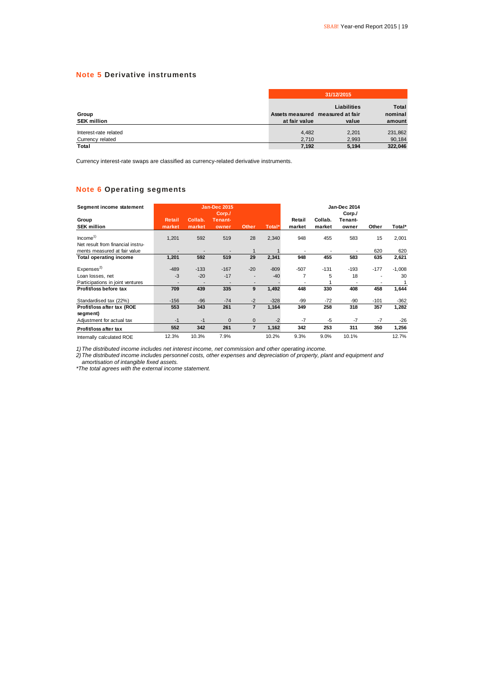### **Note 5 Derivative instruments**

|                                           |                | 31/12/2015                                                      |                                   |  |  |  |  |
|-------------------------------------------|----------------|-----------------------------------------------------------------|-----------------------------------|--|--|--|--|
| Group<br><b>SEK million</b>               | at fair value  | <b>Liabilities</b><br>Assets measured measured at fair<br>value | <b>Total</b><br>nominal<br>amount |  |  |  |  |
| Interest-rate related<br>Currency related | 4.482<br>2,710 | 2,201<br>2.993                                                  | 231,862<br>90,184                 |  |  |  |  |
| <b>Total</b>                              | 7.192          | 5,194                                                           | 322.046                           |  |  |  |  |

Currency interest-rate swaps are classified as currency-related derivative instruments.

### **Note 6 Operating segments**

| Segment income statement          |        |         | <b>Jan-Dec 2015</b><br>Corp./ |                |        |        |         | Jan-Dec 2014<br>Corp./ |        |          |
|-----------------------------------|--------|---------|-------------------------------|----------------|--------|--------|---------|------------------------|--------|----------|
| Group                             | Retail | Collab. | Tenant-                       |                |        | Retail | Collab. | Tenant-                |        |          |
| <b>SEK million</b>                | market | market  | owner                         | <b>Other</b>   | Total* | market | market  | owner                  | Other  | Total*   |
| Income <sup>1</sup>               | 1,201  | 592     | 519                           | 28             | 2,340  | 948    | 455     | 583                    | 15     | 2,001    |
| Net result from financial instru- |        |         |                               |                |        |        |         |                        |        |          |
| ments measured at fair value      |        |         |                               |                |        |        |         |                        | 620    | 620      |
| <b>Total operating income</b>     | 1,201  | 592     | 519                           | 29             | 2,341  | 948    | 455     | 583                    | 635    | 2,621    |
| Expenses <sup>2)</sup>            | $-489$ | $-133$  | $-167$                        | $-20$          | $-809$ | $-507$ | $-131$  | $-193$                 | $-177$ | $-1,008$ |
| Loan losses, net                  | $-3$   | $-20$   | $-17$                         |                | $-40$  | 7      | 5       | 18                     |        | 30       |
| Participations in joint ventures  |        |         |                               |                |        |        |         |                        |        |          |
| Profit/loss before tax            | 709    | 439     | 335                           | 9              | 1,492  | 448    | 330     | 408                    | 458    | 1,644    |
| Standardised tax (22%)            | $-156$ | $-96$   | $-74$                         | $-2$           | $-328$ | $-99$  | $-72$   | -90                    | $-101$ | $-362$   |
| Profit/loss after tax (ROE        | 553    | 343     | 261                           | $\overline{7}$ | 1,164  | 349    | 258     | 318                    | 357    | 1,282    |
| segment)                          |        |         |                               |                |        |        |         |                        |        |          |
| Adjustment for actual tax         | $-1$   | $-1$    | $\mathbf 0$                   | 0              | $-2$   | $-7$   | -5      | $-7$                   | $-7$   | $-26$    |
| Profit/loss after tax             | 552    | 342     | 261                           | $\overline{7}$ | 1,162  | 342    | 253     | 311                    | 350    | 1,256    |
| Internally calculated ROE         | 12.3%  | 10.3%   | 7.9%                          |                | 10.2%  | 9.3%   | 9.0%    | 10.1%                  |        | 12.7%    |

*1)The distributed income includes net interest income, net commission and other operating income.*

*2)The distributed income includes personnel costs, other expenses and depreciation of property, plant and equipment and amortisation of intangible fixed assets.*

*\*The total agrees with the external income statement.*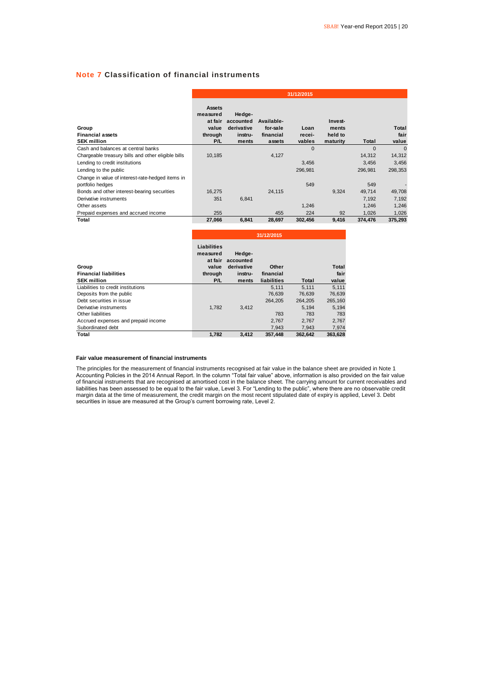### **Note 7 Classification of financial instruments**

|                                                        | 31/12/2015                                               |                                                       |                                               |                          |                                         |          |                        |
|--------------------------------------------------------|----------------------------------------------------------|-------------------------------------------------------|-----------------------------------------------|--------------------------|-----------------------------------------|----------|------------------------|
| Group<br><b>Financial assets</b><br><b>SEK million</b> | Assets<br>measured<br>at fair<br>value<br>through<br>P/L | Hedge-<br>accounted<br>derivative<br>instru-<br>ments | Available-<br>for-sale<br>financial<br>assets | Loan<br>recei-<br>vables | Invest-<br>ments<br>held to<br>maturity | Total    | Total<br>fair<br>value |
| Cash and balances at central banks                     |                                                          |                                                       |                                               | $\Omega$                 |                                         | $\Omega$ | $\mathbf{0}$           |
| Chargeable treasury bills and other eligible bills     | 10,185                                                   |                                                       | 4,127                                         |                          |                                         | 14,312   | 14,312                 |
| Lending to credit institutions                         |                                                          |                                                       |                                               | 3,456                    |                                         | 3,456    | 3,456                  |
| Lending to the public                                  |                                                          |                                                       |                                               | 296,981                  |                                         | 296,981  | 298,353                |
| Change in value of interest-rate-hedged items in       |                                                          |                                                       |                                               |                          |                                         |          |                        |
| portfolio hedges                                       |                                                          |                                                       |                                               | 549                      |                                         | 549      |                        |
| Bonds and other interest-bearing securities            | 16,275                                                   |                                                       | 24,115                                        |                          | 9,324                                   | 49,714   | 49,708                 |
| Derivative instruments                                 | 351                                                      | 6,841                                                 |                                               |                          |                                         | 7,192    | 7,192                  |
| Other assets                                           |                                                          |                                                       |                                               | 1.246                    |                                         | 1.246    | 1,246                  |
| Prepaid expenses and accrued income                    | 255                                                      |                                                       | 455                                           | 224                      | 92                                      | 1,026    | 1,026                  |
| Total                                                  | 27,066                                                   | 6,841                                                 | 28,697                                        | 302,456                  | 9,416                                   | 374.476  | 375.293                |

|                                     | 31/12/2015                                         |                                   |             |         |         |
|-------------------------------------|----------------------------------------------------|-----------------------------------|-------------|---------|---------|
| Group                               | <b>Liabilities</b><br>measured<br>at fair<br>value | Hedge-<br>accounted<br>derivative | Other       |         | Total   |
| <b>Financial liabilities</b>        | through                                            | instru-                           | financial   |         | fair    |
| <b>SEK million</b>                  | P/L                                                | ments                             | liabilities | Total   | value   |
| Liabilities to credit institutions  |                                                    |                                   | 5.111       | 5.111   | 5.111   |
| Deposits from the public            |                                                    |                                   | 76.639      | 76.639  | 76,639  |
| Debt securities in issue            |                                                    |                                   | 264.205     | 264.205 | 265,160 |
| Derivative instruments              | 1.782                                              | 3.412                             |             | 5.194   | 5.194   |
| Other liabilities                   |                                                    |                                   | 783         | 783     | 783     |
| Accrued expenses and prepaid income |                                                    |                                   | 2,767       | 2,767   | 2,767   |
| Subordinated debt                   |                                                    |                                   | 7,943       | 7,943   | 7,974   |
| Total                               | 1.782                                              | 3.412                             | 357.448     | 362.642 | 363.628 |

#### **Fair value measurement of financial instruments**

The principles for the measurement of financial instruments recognised at fair value in the balance sheet are provided in Note 1 Accounting Policies in the 2014 Annual Report. In the column "Total fair value" above, information is also provided on the fair value of financial instruments that are recognised at amortised cost in the balance sheet. The carrying amount for current receivables and liabilities has been assessed to be equal to the fair value, Level 3. For "Lending to the public", where there are no observable credit margin data at the time of measurement, the credit margin on the most recent stipulated date of expiry is applied, Level 3. Debt securities in issue are measured at the Group's current borrowing rate, Level 2.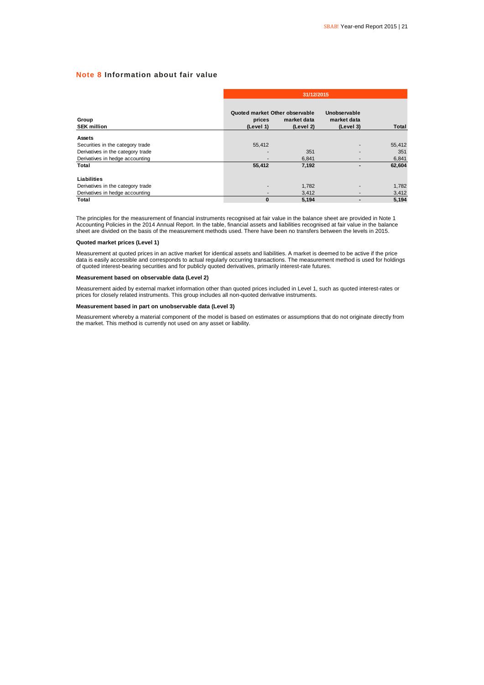### **Note 8 Information about fair value**

|                                   |                                                       | 31/12/2015               |                                          |              |  |  |  |  |
|-----------------------------------|-------------------------------------------------------|--------------------------|------------------------------------------|--------------|--|--|--|--|
| Group<br><b>SEK million</b>       | Quoted market Other observable<br>prices<br>(Level 1) | market data<br>(Level 2) | Unobservable<br>market data<br>(Level 3) | <b>Total</b> |  |  |  |  |
| Assets                            |                                                       |                          |                                          |              |  |  |  |  |
| Securities in the category trade  | 55,412                                                |                          |                                          | 55,412       |  |  |  |  |
| Derivatives in the category trade | ۰                                                     | 351                      |                                          | 351          |  |  |  |  |
| Derivatives in hedge accounting   | ۰                                                     | 6.841                    |                                          | 6,841        |  |  |  |  |
| Total                             | 55,412                                                | 7,192                    | -                                        | 62,604       |  |  |  |  |
| Liabilities                       |                                                       |                          |                                          |              |  |  |  |  |
| Derivatives in the category trade | -                                                     | 1,782                    |                                          | 1,782        |  |  |  |  |
| Derivatives in hedge accounting   | -                                                     | 3,412                    |                                          | 3,412        |  |  |  |  |
| Total                             | 0                                                     | 5,194                    |                                          | 5,194        |  |  |  |  |

The principles for the measurement of financial instruments recognised at fair value in the balance sheet are provided in Note 1 Accounting Policies in the 2014 Annual Report. In the table, financial assets and liabilities recognised at fair value in the balance<br>sheet are divided on the basis of the measurement methods used. There have been no trans

#### **Quoted market prices (Level 1)**

Measurement at quoted prices in an active market for identical assets and liabilities. A market is deemed to be active if the price data is easily accessible and corresponds to actual regularly occurring transactions. The measurement method is used for holdings of quoted interest-bearing securities and for publicly quoted derivatives, primarily interest-rate futures.

#### **Measurement based on observable data (Level 2)**

Measurement aided by external market information other than quoted prices included in Level 1, such as quoted interest-rates or prices for closely related instruments. This group includes all non-quoted derivative instruments.

#### **Measurement based in part on unobservable data (Level 3)**

Measurement whereby a material component of the model is based on estimates or assumptions that do not originate directly from the market. This method is currently not used on any asset or liability.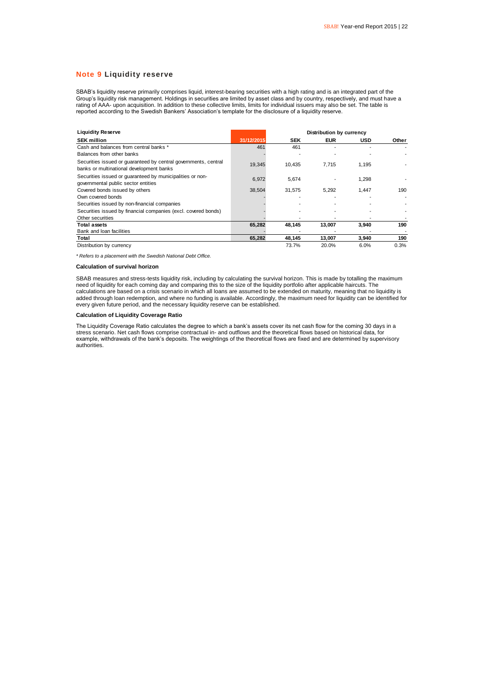#### **Note 9 Liquidity reserve**

SBAB's liquidity reserve primarily comprises liquid, interest-bearing securities with a high rating and is an integrated part of the Group's liquidity risk management. Holdings in securities are limited by asset class and by country, respectively, and must have a rating of AAA- upon acquisition. In addition to these collective limits, limits for individual issuers may also be set. The table is reported according to the Swedish Bankers' Association's template for the disclosure of a liquidity reserve.

| <b>Liquidity Reserve</b>                                                                                    | Distribution by currency |            |            |            |       |
|-------------------------------------------------------------------------------------------------------------|--------------------------|------------|------------|------------|-------|
| <b>SEK million</b>                                                                                          | 31/12/2015               | <b>SEK</b> | <b>EUR</b> | <b>USD</b> | Other |
| Cash and balances from central banks *                                                                      | 461                      | 461        |            |            |       |
| Balances from other banks                                                                                   |                          |            |            |            |       |
| Securities issued or quaranteed by central governments, central<br>banks or multinational development banks | 19,345                   | 10,435     | 7,715      | 1,195      |       |
| Securities issued or quaranteed by municipalities or non-<br>governmental public sector entities            | 6.972                    | 5.674      |            | 1.298      |       |
| Covered bonds issued by others                                                                              | 38,504                   | 31,575     | 5,292      | 1,447      | 190   |
| Own covered bonds                                                                                           |                          |            |            |            |       |
| Securities issued by non-financial companies                                                                |                          |            |            |            |       |
| Securities issued by financial companies (excl. covered bonds)                                              |                          |            |            |            |       |
| Other securities                                                                                            |                          |            |            |            |       |
| <b>Total assets</b>                                                                                         | 65,282                   | 48,145     | 13,007     | 3,940      | 190   |
| Bank and loan facilities                                                                                    |                          |            |            |            |       |
| Total                                                                                                       | 65,282                   | 48,145     | 13,007     | 3,940      | 190   |
| Distribution by currency                                                                                    |                          | 73.7%      | 20.0%      | 6.0%       | 0.3%  |

*\* Refers to a placement with the Swedish National Debt Office.*

#### **Calculation of survival horizon**

SBAB measures and stress-tests liquidity risk, including by calculating the survival horizon. This is made by totalling the maximum need of liquidity for each coming day and comparing this to the size of the liquidity portfolio after applicable haircuts. The calculations are based on a crisis scenario in which all loans are assumed to be extended on maturity, meaning that no liquidity is added through loan redemption, and where no funding is available. Accordingly, the maximum need for liquidity can be identified for every given future period, and the necessary liquidity reserve can be established.

#### **Calculation of Liquidity Coverage Ratio**

The Liquidity Coverage Ratio calculates the degree to which a bank's assets cover its net cash flow for the coming 30 days in a stress scenario. Net cash flows comprise contractual in- and outflows and the theoretical flows based on historical data, for example, withdrawals of the bank's deposits. The weightings of the theoretical flows are fixed and are determined by supervisory authorities.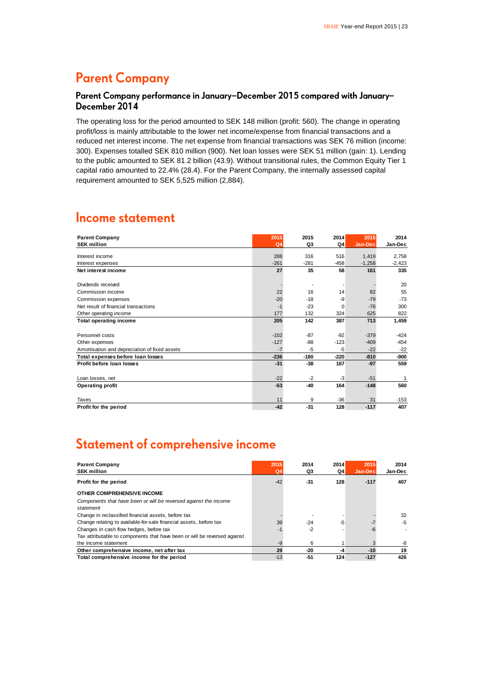# **Parent Company**

### Parent Company performance in January-December 2015 compared with January-December 2014

The operating loss for the period amounted to SEK 148 million (profit: 560). The change in operating profit/loss is mainly attributable to the lower net income/expense from financial transactions and a reduced net interest income. The net expense from financial transactions was SEK 76 million (income: 300). Expenses totalled SEK 810 million (900). Net loan losses were SEK 51 million (gain: 1). Lending to the public amounted to SEK 81.2 billion (43.9). Without transitional rules, the Common Equity Tier 1 capital ratio amounted to 22.4% (28.4). For the Parent Company, the internally assessed capital requirement amounted to SEK 5,525 million (2,884).

### **Income statement**

| <b>Parent Company</b>                         | 2015           | 2015   | 2014     | 2015     | 2014     |
|-----------------------------------------------|----------------|--------|----------|----------|----------|
| <b>SEK million</b>                            | Q <sub>4</sub> | Q3     | Q4       | Jan-Dec  | Jan-Dec  |
| Interest income                               | 288            | 316    | 516      | 1,419    | 2,758    |
| Interest expenses                             | $-261$         | $-281$ | $-458$   | $-1,258$ | $-2,423$ |
| Net interest income                           | 27             | 35     | 58       | 161      | 335      |
|                                               |                |        |          |          |          |
| Dividends received                            |                |        |          |          | 20       |
| Commission income                             | 22             | 16     | 14       | 82       | 55       |
| Commission expenses                           | $-20$          | $-18$  | -9       | $-79$    | $-73$    |
| Net result of financial transactions          | $-1$           | $-23$  | $\Omega$ | $-76$    | 300      |
| Other operating income                        | 177            | 132    | 324      | 625      | 822      |
| <b>Total operating income</b>                 | 205            | 142    | 387      | 713      | 1,459    |
|                                               |                |        |          |          |          |
| Personnel costs                               | $-102$         | $-87$  | $-92$    | $-379$   | $-424$   |
| Other expenses                                | $-127$         | -88    | $-123$   | $-409$   | $-454$   |
| Amortisation and depreciation of fixed assets | $-7$           | -5     | $-5$     | $-22$    | $-22$    |
| Total expenses before loan losses             | $-236$         | $-180$ | $-220$   | $-810$   | -900     |
| Profit before Ioan Iosses                     | $-31$          | $-38$  | 167      | $-97$    | 559      |
|                                               |                |        |          |          |          |
| Loan losses, net                              | $-22$          | $-2$   | -3       | $-51$    | 1        |
| <b>Operating profit</b>                       | $-53$          | $-40$  | 164      | $-148$   | 560      |
|                                               |                |        |          |          |          |
| Taxes                                         | 11             | 9      | $-36$    | 31       | $-153$   |
| Profit for the period                         | $-42$          | $-31$  | 128      | $-117$   | 407      |

# **Statement of comprehensive income**

| <b>Parent Company</b>                                                         | 2015           | 2014  | 2014 | 2015    | 2014    |
|-------------------------------------------------------------------------------|----------------|-------|------|---------|---------|
| <b>SEK million</b>                                                            | Q <sub>4</sub> | Q3    | Q4   | Jan-Dec | Jan-Dec |
| Profit for the period                                                         | $-42$          | $-31$ | 128  | $-117$  | 407     |
| OTHER COMPREHENSIVE INCOME                                                    |                |       |      |         |         |
| Components that have been or will be reversed against the income<br>statement |                |       |      |         |         |
| Change in reclassified financial assets, before tax                           |                |       |      |         | 32      |
| Change relating to available-for-sale financial assets, before tax            | 39             | $-24$ | $-5$ |         | $-5$    |
| Changes in cash flow hedges, before tax                                       |                | $-2$  |      |         |         |
| Tax attributable to components that have been or will be reversed against     |                |       |      |         |         |
| the income statement                                                          | -9             | 6     |      |         | -8      |
| Other comprehensive income, net after tax                                     | 29             | -20   | -4   | $-10$   | 19      |
| Total comprehensive income for the period                                     | $-13$          | $-51$ | 124  | $-127$  | 426     |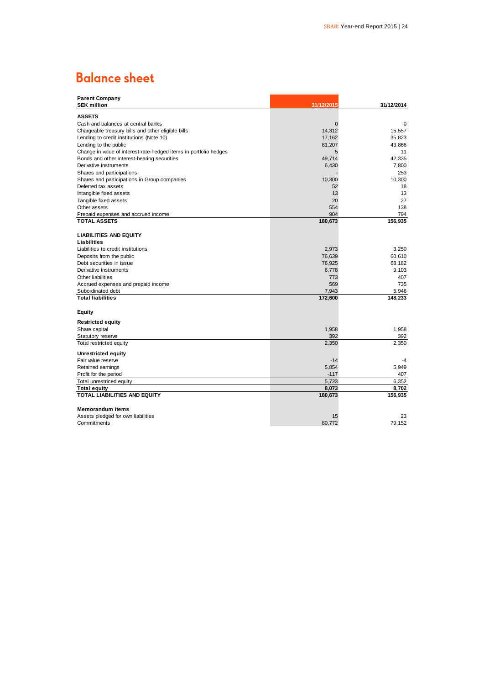# **Balance sheet**

| <b>Parent Company</b>                                                                      |             |             |
|--------------------------------------------------------------------------------------------|-------------|-------------|
| <b>SEK million</b>                                                                         | 31/12/2015  | 31/12/2014  |
| <b>ASSETS</b>                                                                              |             |             |
| Cash and balances at central banks                                                         | $\mathbf 0$ | $\mathbf 0$ |
| Chargeable treasury bills and other eligible bills                                         | 14,312      | 15,557      |
| Lending to credit institutions (Note 10)                                                   | 17,162      | 35,823      |
|                                                                                            | 81,207      | 43.866      |
| Lending to the public<br>Change in value of interest-rate-hedged items in portfolio hedges | 5           | 11          |
| Bonds and other interest-bearing securities                                                | 49,714      | 42.335      |
| Derivative instruments                                                                     | 6,430       | 7,800       |
|                                                                                            |             | 253         |
| Shares and participations                                                                  |             |             |
| Shares and participations in Group companies                                               | 10,300      | 10,300      |
| Deferred tax assets                                                                        | 52          | 18          |
| Intangible fixed assets                                                                    | 13          | 13          |
| Tangible fixed assets                                                                      | 20          | 27          |
| Other assets                                                                               | 554         | 138         |
| Prepaid expenses and accrued income                                                        | 904         | 794         |
| <b>TOTAL ASSETS</b>                                                                        | 180,673     | 156,935     |
| <b>LIABILITIES AND EQUITY</b>                                                              |             |             |
|                                                                                            |             |             |
| Liabilities                                                                                |             |             |
| Liabilities to credit institutions                                                         | 2,973       | 3,250       |
| Deposits from the public                                                                   | 76,639      | 60,610      |
| Debt securities in issue                                                                   | 76,925      | 68,182      |
| Derivative instruments                                                                     | 6,778       | 9,103       |
| <b>Other liabilities</b>                                                                   | 773         | 407         |
| Accrued expenses and prepaid income                                                        | 569         | 735         |
| Subordinated debt                                                                          | 7,943       | 5,946       |
| <b>Total liabilities</b>                                                                   | 172,600     | 148,233     |
| <b>Equity</b>                                                                              |             |             |
| <b>Restricted equity</b>                                                                   |             |             |
| Share capital                                                                              | 1,958       | 1,958       |
| Statutory reserve                                                                          | 392         | 392         |
| Total restricted equity                                                                    | 2,350       | 2,350       |
| Unrestricted equity                                                                        |             |             |
| Fair value reserve                                                                         | $-14$       | -4          |
| Retained earnings                                                                          | 5,854       | 5,949       |
| Profit for the period                                                                      | $-117$      | 407         |
| Total unrestriced equity                                                                   | 5,723       | 6,352       |
| <b>Total equity</b>                                                                        | 8,073       | 8,702       |
| <b>TOTAL LIABILITIES AND EQUITY</b>                                                        | 180,673     | 156,935     |
|                                                                                            |             |             |
| <b>Memorandum items</b>                                                                    |             |             |
| Assets pledged for own liabilities                                                         | 15          | 23          |
| Commitments                                                                                | 80.772      | 79.152      |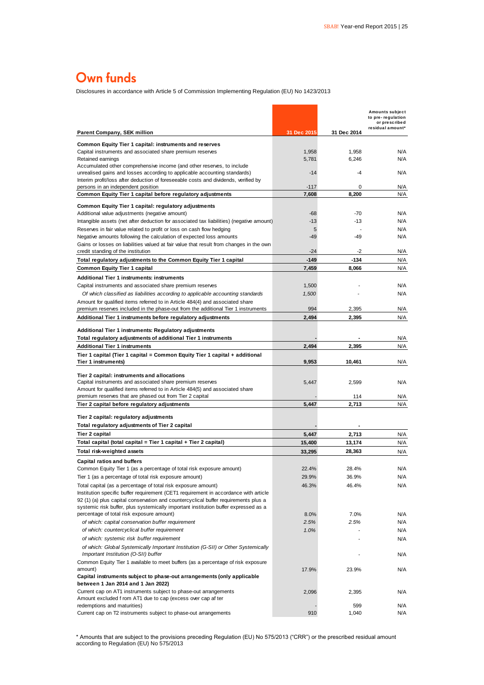# Own funds

Disclosures in accordance with Article 5 of Commission Implementing Regulation (EU) No 1423/2013

| Disclosures in accordance with Article 5 or Commission implementing Regulation (EO) NO 1423/2013                                                                           |                 |                |                                                       |
|----------------------------------------------------------------------------------------------------------------------------------------------------------------------------|-----------------|----------------|-------------------------------------------------------|
|                                                                                                                                                                            |                 |                | Amounts subject<br>to pre-regulation<br>or prescribed |
| <b>Parent Company, SEK million</b>                                                                                                                                         | 31 Dec 2015     | 31 Dec 2014    | residual amount*                                      |
| <b>Common Equity Tier 1 capital: instruments and reserves</b>                                                                                                              |                 |                |                                                       |
| Capital instruments and associated share premium reserves                                                                                                                  | 1,958           | 1,958          | N/A                                                   |
| Retained earnings                                                                                                                                                          | 5,781           | 6,246          | N/A                                                   |
| Accumulated other comprehensive income (and other reserves, to include<br>unrealised gains and losses according to applicable accounting standards)                        | $-14$           | -4             | N/A                                                   |
| Interim profit/loss after deduction of foreseeable costs and dividends, verified by                                                                                        |                 |                |                                                       |
| persons in an independent position                                                                                                                                         | $-117$          | 0              | N/A                                                   |
| Common Equity Tier 1 capital before regulatory adjustments                                                                                                                 | 7,608           | 8,200          | N/A                                                   |
| Common Equity Tier 1 capital: regulatory adjustments                                                                                                                       |                 |                |                                                       |
| Additional value adjustments (negative amount)<br>Intangible assets (net after deduction for associated tax liabilities) (negative amount)                                 | -68<br>$-13$    | $-70$<br>$-13$ | N/A<br>N/A                                            |
| Reserves in fair value related to profit or loss on cash flow hedging                                                                                                      | 5               |                | N/A                                                   |
| Negative amounts following the calculation of expected loss amounts                                                                                                        | $-49$           | $-49$          | N/A                                                   |
| Gains or losses on liabilities valued at fair value that result from changes in the own                                                                                    |                 |                |                                                       |
| credit standing of the institution                                                                                                                                         | $-24$           | $-2$           | N/A                                                   |
| Total regulatory adjustments to the Common Equity Tier 1 capital                                                                                                           | $-149$<br>7,459 | $-134$         | N/A<br>N/A                                            |
| <b>Common Equity Tier 1 capital</b><br><b>Additional Tier 1 instruments: instruments</b>                                                                                   |                 | 8,066          |                                                       |
| Capital instruments and associated share premium reserves                                                                                                                  | 1,500           |                | N/A                                                   |
| Of which classified as liabilities according to applicable accounting standards                                                                                            | 1,500           |                | N/A                                                   |
| Amount for qualified items referred to in Article 484(4) and associated share                                                                                              |                 |                |                                                       |
| premium reserves included in the phase-out from the additional Tier 1 instruments                                                                                          | 994             | 2.395          | N/A                                                   |
| Additional Tier 1 instruments before regulatory adjustments                                                                                                                | 2,494           | 2,395          | N/A                                                   |
| Additional Tier 1 instruments: Regulatory adjustments                                                                                                                      |                 |                |                                                       |
| Total regulatory adjustments of additional Tier 1 instruments                                                                                                              |                 |                | N/A                                                   |
| <b>Additional Tier 1 instruments</b>                                                                                                                                       | 2,494           | 2,395          | N/A                                                   |
| Tier 1 capital (Tier 1 capital = Common Equity Tier 1 capital + additional                                                                                                 |                 |                |                                                       |
| Tier 1 instruments)                                                                                                                                                        | 9,953           | 10,461         | N/A                                                   |
| Tier 2 capital: instruments and allocations                                                                                                                                |                 |                |                                                       |
| Capital instruments and associated share premium reserves                                                                                                                  | 5,447           | 2,599          | N/A                                                   |
| Amount for qualified items referred to in Article 484(5) and associated share<br>premium reserves that are phased out from Tier 2 capital                                  |                 | 114            | N/A                                                   |
| Tier 2 capital before regulatory adjustments                                                                                                                               | 5,447           | 2,713          | N/A                                                   |
|                                                                                                                                                                            |                 |                |                                                       |
| Tier 2 capital: regulatory adjustments<br>Total regulatory adjustments of Tier 2 capital                                                                                   |                 |                |                                                       |
| Tier 2 capital                                                                                                                                                             | 5,447           | 2,713          | N/A                                                   |
| Total capital (total capital = Tier 1 capital + Tier 2 capital)                                                                                                            | 15,400          | 13,174         | N/A                                                   |
| Total risk-weighted assets                                                                                                                                                 | 33,295          | 28,363         | N/A                                                   |
| <b>Capital ratios and buffers</b>                                                                                                                                          |                 |                |                                                       |
| Common Equity Tier 1 (as a percentage of total risk exposure amount)                                                                                                       | 22.4%           | 28.4%          | N/A                                                   |
| Tier 1 (as a percentage of total risk exposure amount)                                                                                                                     | 29.9%           | 36.9%          | N/A                                                   |
| Total capital (as a percentage of total risk exposure amount)                                                                                                              | 46.3%           | 46.4%          | N/A                                                   |
| Institution specific buffer requirement (CET1 requirement in accordance with article                                                                                       |                 |                |                                                       |
| 92 (1) (a) plus capital conservation and countercyclical buffer requirements plus a<br>systemic risk buffer, plus systemically important institution buffer expressed as a |                 |                |                                                       |
| percentage of total risk exposure amount)                                                                                                                                  | 8.0%            | 7.0%           | N/A                                                   |
| of which: capital conservation buffer requirement                                                                                                                          | 2.5%            | 2.5%           | N/A                                                   |
| of which: countercyclical buffer requirement                                                                                                                               | 1.0%            |                | N/A                                                   |
| of which: systemic risk buffer requirement                                                                                                                                 |                 |                | N/A                                                   |
| of which: Global Systemically Important Institution (G-SII) or Other Systemically<br>Important Institution (O-SII) buffer                                                  |                 |                | N/A                                                   |
| Common Equity Tier 1 available to meet buffers (as a percentage of risk exposure                                                                                           |                 |                |                                                       |
| amount)                                                                                                                                                                    | 17.9%           | 23.9%          | N/A                                                   |
| Capital instruments subject to phase-out arrangements (only applicable                                                                                                     |                 |                |                                                       |
| between 1 Jan 2014 and 1 Jan 2022)                                                                                                                                         |                 |                |                                                       |
| Current cap on AT1 instruments subject to phase-out arrangements<br>Amount excluded f rom AT1 due to cap (excess over cap af ter                                           | 2,096           | 2,395          | N/A                                                   |
| redemptions and maturities)                                                                                                                                                |                 | 599            | N/A                                                   |
| Current cap on T2 instruments subject to phase-out arrangements                                                                                                            | 910             | 1,040          | N/A                                                   |

\* Amounts that are subject to the provisions preceding Regulation (EU) No 575/2013 ("CRR") or the prescribed residual amount according to Regulation (EU) No 575/2013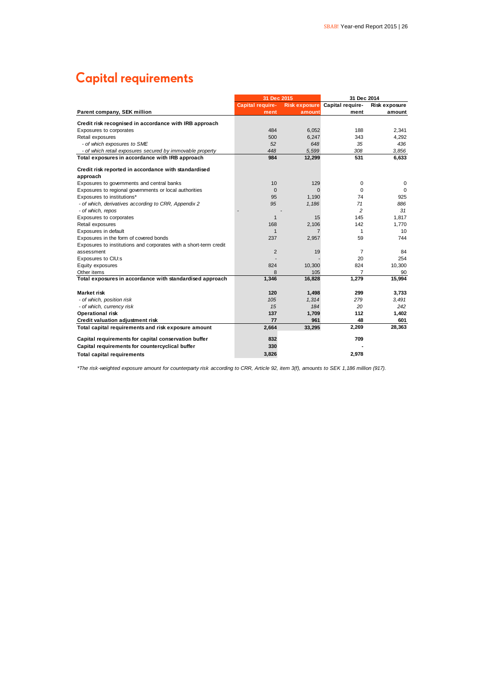# **Capital requirements**

|                                                                   | 31 Dec 2015             |                      |                  | 31 Dec 2014     |  |  |
|-------------------------------------------------------------------|-------------------------|----------------------|------------------|-----------------|--|--|
|                                                                   | <b>Capital require-</b> | <b>Risk exposure</b> | Capital require- | Risk exposure   |  |  |
| Parent company, SEK million                                       | ment                    | amount               | ment             | amount          |  |  |
| Credit risk recognised in accordance with IRB approach            |                         |                      |                  |                 |  |  |
| Exposures to corporates                                           | 484                     | 6,052                | 188              | 2,341           |  |  |
| Retail exposures                                                  | 500                     | 6,247                | 343              | 4.292           |  |  |
| - of which exposures to SME                                       | 52                      | 648                  | 35               | 436             |  |  |
| - of which retail exposures secured by immovable property         | 448                     | 5.599                | 308              | 3.856           |  |  |
| Total exposures in accordance with IRB approach                   | 984                     | 12,299               | 531              | 6,633           |  |  |
| Credit risk reported in accordance with standardised              |                         |                      |                  |                 |  |  |
| approach                                                          |                         |                      |                  |                 |  |  |
| Exposures to governments and central banks                        | 10                      | 129                  | 0                | 0               |  |  |
| Exposures to regional governments or local authorities            | $\mathbf{0}$            | $\Omega$             | 0                | 0               |  |  |
| Exposures to institutions*                                        | 95                      | 1,190                | 74               | 925             |  |  |
| - of which, derivatives according to CRR, Appendix 2              | 95                      | 1,186                | 71               | 886             |  |  |
| - of which, repos                                                 |                         |                      | $\overline{a}$   | 31              |  |  |
| Exposures to corporates                                           | 1                       | 15                   | 145              | 1,817           |  |  |
| Retail exposures                                                  | 168                     | 2,106                | 142              | 1,770           |  |  |
| Exposures in default                                              | $\mathbf{1}$            | 7                    | 1                | 10 <sup>1</sup> |  |  |
| Exposures in the form of covered bonds                            | 237                     | 2,957                | 59               | 744             |  |  |
| Exposures to institutions and corporates with a short-term credit |                         |                      |                  |                 |  |  |
| assessment                                                        | $\overline{2}$          | 19                   | 7                | 84              |  |  |
| Exposures to CIU:s                                                |                         |                      | 20               | 254             |  |  |
| Equity exposures                                                  | 824                     | 10,300               | 824              | 10,300          |  |  |
| Other items                                                       | 8                       | 105                  | 7                | 90              |  |  |
| Total exposures in accordance with standardised approach          | 1,346                   | 16,828               | 1,279            | 15,994          |  |  |
| <b>Market risk</b>                                                | 120                     | 1,498                | 299              | 3.733           |  |  |
| - of which, position risk                                         | 105                     | 1,314                | 279              | 3,491           |  |  |
| - of which, currency risk                                         | 15                      | 184                  | 20               | 242             |  |  |
| <b>Operational risk</b>                                           | 137                     | 1,709                | 112              | 1,402           |  |  |
| Credit valuation adjustment risk                                  | 77                      | 961                  | 48               | 601             |  |  |
| Total capital requirements and risk exposure amount               | 2,664                   | 33,295               | 2,269            | 28,363          |  |  |
| Capital requirements for capital conservation buffer              | 832                     |                      | 709              |                 |  |  |
| Capital requirements for countercyclical buffer                   | 330                     |                      |                  |                 |  |  |
| <b>Total capital requirements</b>                                 | 3.826                   |                      | 2.978            |                 |  |  |

*\*The risk-weighted exposure amount for counterparty risk according to CRR, Article 92, item 3(f), amounts to SEK 1,186 million (917).*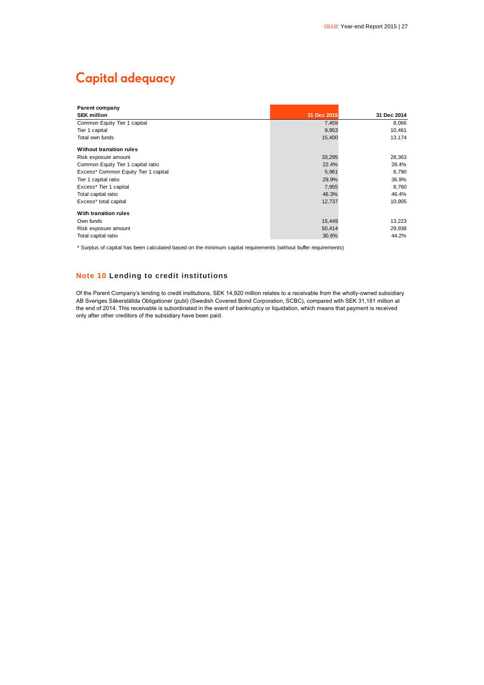# **Capital adequacy**

| <b>Parent company</b>                |             |             |
|--------------------------------------|-------------|-------------|
| <b>SEK million</b>                   | 31 Dec 2015 | 31 Dec 2014 |
| Common Equity Tier 1 capital         | 7,459       | 8,066       |
| Tier 1 capital                       | 9,953       | 10,461      |
| Total own funds                      | 15,400      | 13,174      |
| <b>Without transition rules</b>      |             |             |
| Risk exposure amount                 | 33,295      | 28,363      |
| Common Equity Tier 1 capital ratio   | 22.4%       | 28.4%       |
| Excess* Common Equity Tier 1 capital | 5,961       | 6,790       |
| Tier 1 capital ratio                 | 29.9%       | 36.9%       |
| Excess* Tier 1 capital               | 7,955       | 8,760       |
| Total capital ratio                  | 46.3%       | 46.4%       |
| Excess* total capital                | 12,737      | 10,905      |
| With transition rules                |             |             |
| Own funds                            | 15,449      | 13,223      |
| Risk exposure amount                 | 50,414      | 29,938      |
| Total capital ratio                  | 30.6%       | 44.2%       |

\* Surplus of capital has been calculated based on the minimum capital requirements (without buffer requirements)

### **Note 10 Lending to credit institutions**

Of the Parent Company's lending to credit institutions, SEK 14,920 million relates to a receivable from the wholly-owned subsidiary AB Sveriges Säkerställda Obligationer (publ) (Swedish Covered Bond Corporation, SCBC), compared with SEK 31,181 million at the end of 2014. This receivable is subordinated in the event of bankruptcy or liquidation, which means that payment is received only after other creditors of the subsidiary have been paid.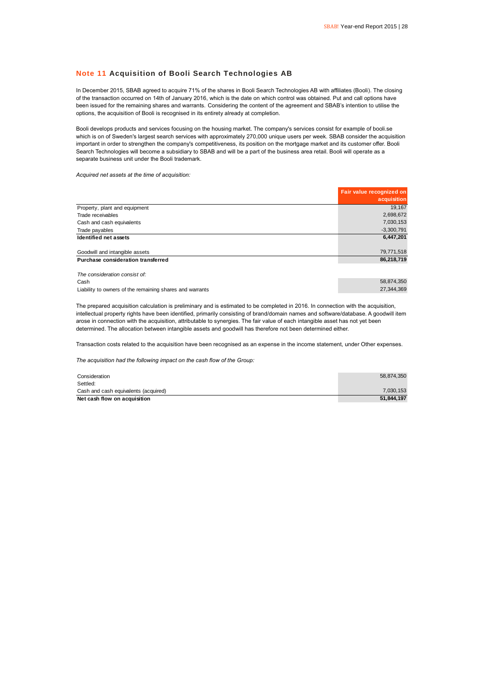#### **Note 11 Acquisition of Booli Search Technologies AB**

In December 2015, SBAB agreed to acquire 71% of the shares in Booli Search Technologies AB with affiliates (Booli). The closing of the transaction occurred on 14th of January 2016, which is the date on which control was obtained. Put and call options have been issued for the remaining shares and warrants. Considering the content of the agreement and SBAB's intention to utilise the options, the acquisition of Booli is recognised in its entirety already at completion.

Booli develops products and services focusing on the housing market. The company's services consist for example of booli.se which is on of Sweden's largest search services with approximately 270,000 unique users per week. SBAB consider the acquisition important in order to strengthen the company's competitiveness, its position on the mortgage market and its customer offer. Booli Search Technologies will become a subsidiary to SBAB and will be a part of the business area retail. Booli will operate as a separate business unit under the Booli trademark.

*Acquired net assets at the time of acquisition:*

|                                                          | Fair value recognized on<br>acquisition |
|----------------------------------------------------------|-----------------------------------------|
| Property, plant and equipment                            | 19.167                                  |
| Trade receivables                                        | 2,698,672                               |
| Cash and cash equivalents                                | 7,030,153                               |
| Trade payables                                           | $-3,300,791$                            |
| Identified net assets                                    | 6,447,201                               |
| Goodwill and intangible assets                           | 79,771,518                              |
| Purchase consideration transferred                       | 86,218,719                              |
| The consideration consist of:                            |                                         |
| Cash                                                     | 58,874,350                              |
| Liability to owners of the remaining shares and warrants | 27.344.369                              |

The prepared acquisition calculation is preliminary and is estimated to be completed in 2016. In connection with the acquisition, intellectual property rights have been identified, primarily consisting of brand/domain names and software/database. A goodwill item arose in connection with the acquisition, attributable to synergies. The fair value of each intangible asset has not yet been determined. The allocation between intangible assets and goodwill has therefore not been determined either.

Transaction costs related to the acquisition have been recognised as an expense in the income statement, under Other expenses.

*The acquisition had the following impact on the cash flow of the Group:*

| Consideration                        | 58.874.350 |
|--------------------------------------|------------|
| Settled:                             |            |
| Cash and cash equivalents (acquired) | 7,030,153  |
| Net cash flow on acquisition         | 51.844.197 |